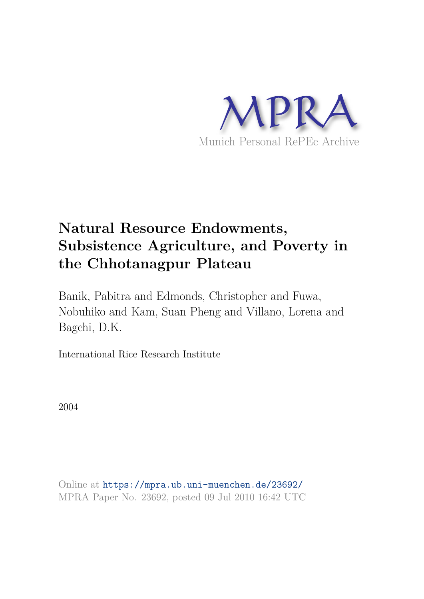

## **Natural Resource Endowments, Subsistence Agriculture, and Poverty in the Chhotanagpur Plateau**

Banik, Pabitra and Edmonds, Christopher and Fuwa, Nobuhiko and Kam, Suan Pheng and Villano, Lorena and Bagchi, D.K.

International Rice Research Institute

2004

Online at https://mpra.ub.uni-muenchen.de/23692/ MPRA Paper No. 23692, posted 09 Jul 2010 16:42 UTC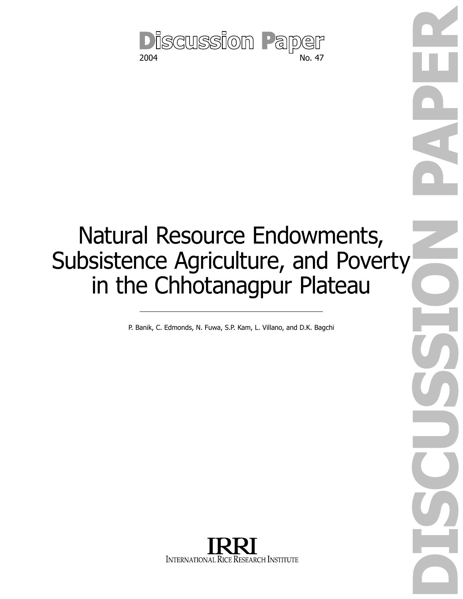

# Natural Resource Endowments, Subsistence Agriculture, and Poverty in the Chhotanagpur Plateau

P. Banik, C. Edmonds, N. Fuwa, S.P. Kam, L. Villano, and D.K. Bagchi

**DISCUSSION PAPER** 

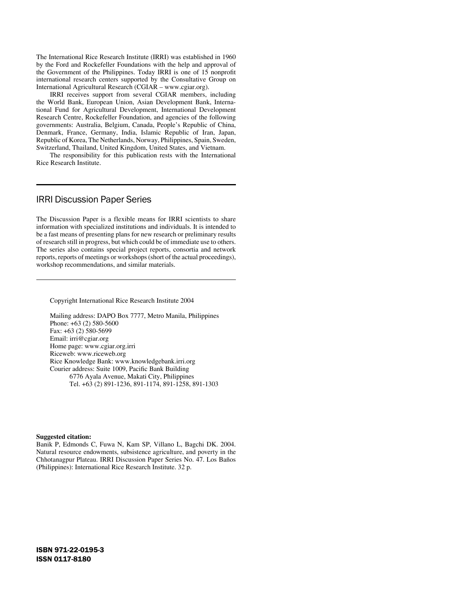The International Rice Research Institute (IRRI) was established in 1960 by the Ford and Rockefeller Foundations with the help and approval of the Government of the Philippines. Today IRRI is one of 15 nonprofit international research centers supported by the Consultative Group on International Agricultural Research (CGIAR – www.cgiar.org).

 IRRI receives support from several CGIAR members, including the World Bank, European Union, Asian Development Bank, International Fund for Agricultural Development, International Development Research Centre, Rockefeller Foundation, and agencies of the following governments: Australia, Belgium, Canada, People's Republic of China, Denmark, France, Germany, India, Islamic Republic of Iran, Japan, Republic of Korea, The Netherlands, Norway, Philippines, Spain, Sweden, Switzerland, Thailand, United Kingdom, United States, and Vietnam.

 The responsibility for this publication rests with the International Rice Research Institute.

## IRRI Discussion Paper Series

The Discussion Paper is a flexible means for IRRI scientists to share information with specialized institutions and individuals. It is intended to be a fast means of presenting plans for new research or preliminary results of research still in progress, but which could be of immediate use to others. The series also contains special project reports, consortia and network reports, reports of meetings or workshops (short of the actual proceedings), workshop recommendations, and similar materials.

Copyright International Rice Research Institute 2004

Mailing address: DAPO Box 7777, Metro Manila, Philippines Phone: +63 (2) 580-5600 Fax: +63 (2) 580-5699 Email: irri@cgiar.org Home page: www.cgiar.org.irri Riceweb: www.riceweb.org Rice Knowledge Bank: www.knowledgebank.irri.org Courier address: Suite 1009, Pacific Bank Building 6776 Ayala Avenue, Makati City, Philippines Tel. +63 (2) 891-1236, 891-1174, 891-1258, 891-1303

#### **Suggested citation:**

Banik P, Edmonds C, Fuwa N, Kam SP, Villano L, Bagchi DK. 2004. Natural resource endowments, subsistence agriculture, and poverty in the Chhotanagpur Plateau. IRRI Discussion Paper Series No. 47. Los Baños (Philippines): International Rice Research Institute. 32 p.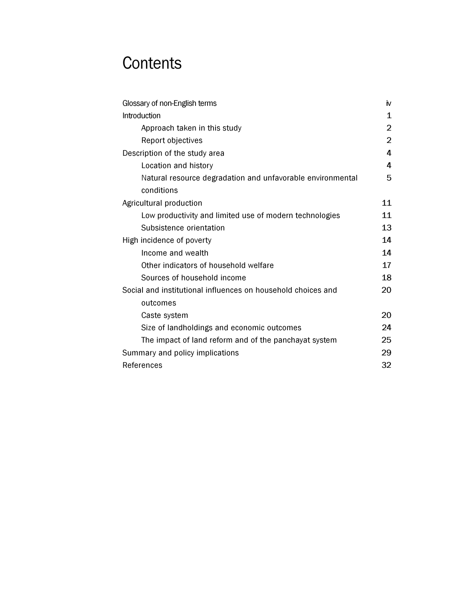## **Contents**

| Glossary of non-English terms                                            | iv             |
|--------------------------------------------------------------------------|----------------|
| Introduction                                                             | 1              |
| Approach taken in this study                                             | $\overline{2}$ |
| Report objectives                                                        | $\overline{2}$ |
| Description of the study area                                            | 4              |
| Location and history                                                     | 4              |
| Natural resource degradation and unfavorable environmental               | 5              |
| conditions                                                               |                |
| Agricultural production                                                  | 11             |
| Low productivity and limited use of modern technologies                  | 11             |
| Subsistence orientation                                                  | 13             |
| High incidence of poverty                                                | 14             |
| Income and wealth                                                        | 14             |
| Other indicators of household welfare                                    | 17             |
| Sources of household income                                              | 18             |
| Social and institutional influences on household choices and<br>outcomes | 20             |
| Caste system                                                             | 20             |
| Size of landholdings and economic outcomes                               | 24             |
| The impact of land reform and of the panchayat system                    | 25             |
| Summary and policy implications                                          | 29             |
| References                                                               | 32             |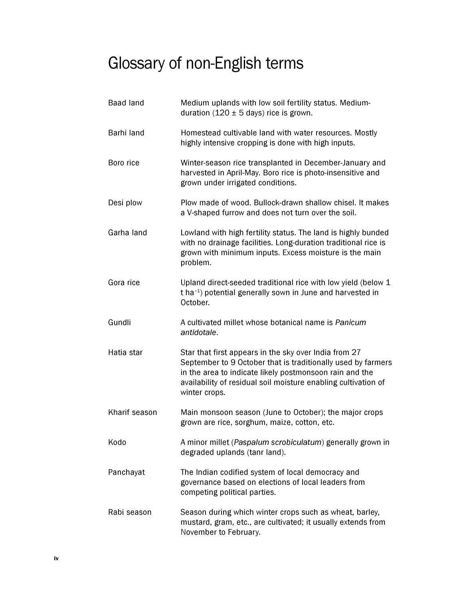## Glossary of non-English terms

| <b>Baad land</b> | Medium uplands with low soil fertility status. Medium-<br>duration (120 $\pm$ 5 days) rice is grown.                                                                                                                                                                |
|------------------|---------------------------------------------------------------------------------------------------------------------------------------------------------------------------------------------------------------------------------------------------------------------|
| Barhi land       | Homestead cultivable land with water resources. Mostly<br>highly intensive cropping is done with high inputs.                                                                                                                                                       |
| Boro rice        | Winter-season rice transplanted in December-January and<br>harvested in April-May. Boro rice is photo-insensitive and<br>grown under irrigated conditions.                                                                                                          |
| Desi plow        | Plow made of wood. Bullock-drawn shallow chisel. It makes<br>a V-shaped furrow and does not turn over the soil.                                                                                                                                                     |
| Garha land       | Lowland with high fertility status. The land is highly bunded<br>with no drainage facilities. Long-duration traditional rice is<br>grown with minimum inputs. Excess moisture is the main<br>problem.                                                               |
| Gora rice        | Upland direct-seeded traditional rice with low yield (below 1<br>t ha <sup>-1</sup> ) potential generally sown in June and harvested in<br>October.                                                                                                                 |
| Gundli           | A cultivated millet whose botanical name is Panicum<br>antidotale.                                                                                                                                                                                                  |
| Hatia star       | Star that first appears in the sky over India from 27<br>September to 9 October that is traditionally used by farmers<br>in the area to indicate likely postmonsoon rain and the<br>availability of residual soil moisture enabling cultivation of<br>winter crops. |
| Kharif season    | Main monsoon season (June to October); the major crops<br>grown are rice, sorghum, maize, cotton, etc.                                                                                                                                                              |
| Kodo             | A minor millet (Paspalum scrobiculatum) generally grown in<br>degraded uplands (tanr land).                                                                                                                                                                         |
| Panchayat        | The Indian codified system of local democracy and<br>governance based on elections of local leaders from<br>competing political parties.                                                                                                                            |
| Rabi season      | Season during which winter crops such as wheat, barley,<br>mustard, gram, etc., are cultivated; it usually extends from<br>November to February.                                                                                                                    |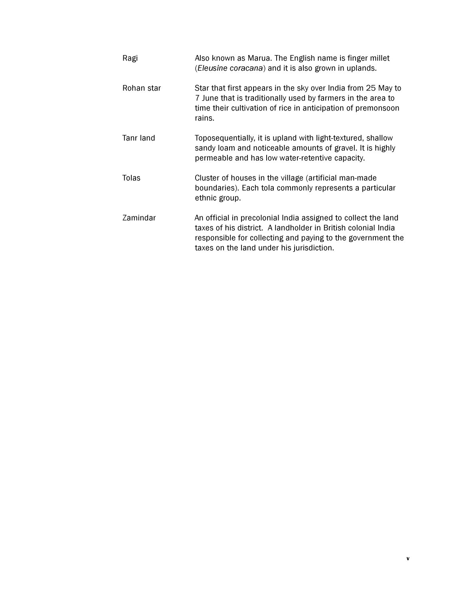| Ragi       | Also known as Marua. The English name is finger millet<br>(Eleusine coracana) and it is also grown in uplands.                                                                                                                             |
|------------|--------------------------------------------------------------------------------------------------------------------------------------------------------------------------------------------------------------------------------------------|
| Rohan star | Star that first appears in the sky over India from 25 May to<br>7 June that is traditionally used by farmers in the area to<br>time their cultivation of rice in anticipation of premonsoon<br>rains.                                      |
| Tanr land  | Toposequentially, it is upland with light-textured, shallow<br>sandy loam and noticeable amounts of gravel. It is highly<br>permeable and has low water-retentive capacity.                                                                |
| Tolas      | Cluster of houses in the village (artificial man-made<br>boundaries). Each tola commonly represents a particular<br>ethnic group.                                                                                                          |
| Zamindar   | An official in precolonial India assigned to collect the land<br>taxes of his district. A landholder in British colonial India<br>responsible for collecting and paying to the government the<br>taxes on the land under his jurisdiction. |

v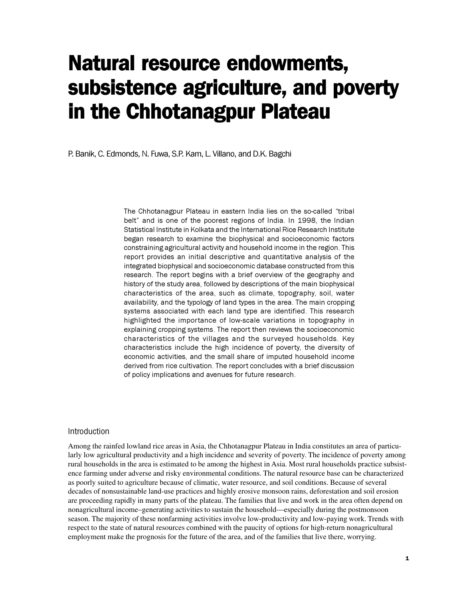## Natural resource endowments, subsistence agriculture, and poverty in the Chhotanagpur Plateau

P. Banik, C. Edmonds, N. Fuwa, S.P. Kam, L. Villano, and D.K. Bagchi

The Chhotanagpur Plateau in eastern India lies on the so-called "tribal belt" and is one of the poorest regions of India. In 1998, the Indian Statistical Institute in Kolkata and the International Rice Research Institute began research to examine the biophysical and socioeconomic factors constraining agricultural activity and household income in the region. This report provides an initial descriptive and quantitative analysis of the integrated biophysical and socioeconomic database constructed from this research. The report begins with a brief overview of the geography and history of the study area, followed by descriptions of the main biophysical characteristics of the area, such as climate, topography, soil, water availability, and the typology of land types in the area. The main cropping systems associated with each land type are identified. This research highlighted the importance of low-scale variations in topography in explaining cropping systems. The report then reviews the socioeconomic characteristics of the villages and the surveyed households. Key characteristics include the high incidence of poverty, the diversity of economic activities, and the small share of imputed household income derived from rice cultivation. The report concludes with a brief discussion of policy implications and avenues for future research.

### Introduction

Among the rainfed lowland rice areas in Asia, the Chhotanagpur Plateau in India constitutes an area of particularly low agricultural productivity and a high incidence and severity of poverty. The incidence of poverty among rural households in the area is estimated to be among the highest in Asia. Most rural households practice subsistence farming under adverse and risky environmental conditions. The natural resource base can be characterized as poorly suited to agriculture because of climatic, water resource, and soil conditions. Because of several decades of nonsustainable land-use practices and highly erosive monsoon rains, deforestation and soil erosion are proceeding rapidly in many parts of the plateau. The families that live and work in the area often depend on nonagricultural income–generating activities to sustain the household—especially during the postmonsoon season. The majority of these nonfarming activities involve low-productivity and low-paying work. Trends with respect to the state of natural resources combined with the paucity of options for high-return nonagricultural employment make the prognosis for the future of the area, and of the families that live there, worrying.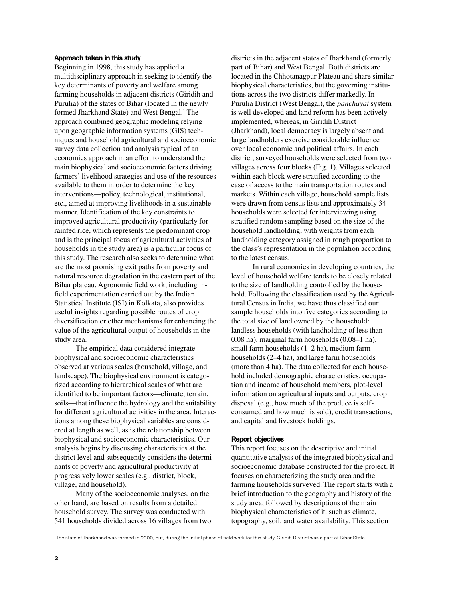#### Approach taken in this study

Beginning in 1998, this study has applied a multidisciplinary approach in seeking to identify the key determinants of poverty and welfare among farming households in adjacent districts (Giridih and Purulia) of the states of Bihar (located in the newly formed Jharkhand State) and West Bengal.<sup>1</sup> The approach combined geographic modeling relying upon geographic information systems (GIS) techniques and household agricultural and socioeconomic survey data collection and analysis typical of an economics approach in an effort to understand the main biophysical and socioeconomic factors driving farmers' livelihood strategies and use of the resources available to them in order to determine the key interventions—policy, technological, institutional, etc., aimed at improving livelihoods in a sustainable manner. Identification of the key constraints to improved agricultural productivity (particularly for rainfed rice, which represents the predominant crop and is the principal focus of agricultural activities of households in the study area) is a particular focus of this study. The research also seeks to determine what are the most promising exit paths from poverty and natural resource degradation in the eastern part of the Bihar plateau. Agronomic field work, including infield experimentation carried out by the Indian Statistical Institute (ISI) in Kolkata, also provides useful insights regarding possible routes of crop diversification or other mechanisms for enhancing the value of the agricultural output of households in the study area.

The empirical data considered integrate biophysical and socioeconomic characteristics observed at various scales (household, village, and landscape). The biophysical environment is categorized according to hierarchical scales of what are identified to be important factors—climate, terrain, soils—that influence the hydrology and the suitability for different agricultural activities in the area. Interactions among these biophysical variables are considered at length as well, as is the relationship between biophysical and socioeconomic characteristics. Our analysis begins by discussing characteristics at the district level and subsequently considers the determinants of poverty and agricultural productivity at progressively lower scales (e.g., district, block, village, and household).

Many of the socioeconomic analyses, on the other hand, are based on results from a detailed household survey. The survey was conducted with 541 households divided across 16 villages from two districts in the adjacent states of Jharkhand (formerly part of Bihar) and West Bengal. Both districts are located in the Chhotanagpur Plateau and share similar biophysical characteristics, but the governing institutions across the two districts differ markedly. In Purulia District (West Bengal), the *panchayat* system is well developed and land reform has been actively implemented, whereas, in Giridih District (Jharkhand), local democracy is largely absent and large landholders exercise considerable influence over local economic and political affairs. In each district, surveyed households were selected from two villages across four blocks (Fig. 1). Villages selected within each block were stratified according to the ease of access to the main transportation routes and markets. Within each village, household sample lists were drawn from census lists and approximately 34 households were selected for interviewing using stratified random sampling based on the size of the household landholding, with weights from each landholding category assigned in rough proportion to the class's representation in the population according to the latest census.

In rural economies in developing countries, the level of household welfare tends to be closely related to the size of landholding controlled by the household. Following the classification used by the Agricultural Census in India, we have thus classified our sample households into five categories according to the total size of land owned by the household: landless households (with landholding of less than 0.08 ha), marginal farm households (0.08–1 ha), small farm households (1–2 ha), medium farm households (2–4 ha), and large farm households (more than 4 ha). The data collected for each household included demographic characteristics, occupation and income of household members, plot-level information on agricultural inputs and outputs, crop disposal (e.g., how much of the produce is selfconsumed and how much is sold), credit transactions, and capital and livestock holdings.

#### Report objectives

This report focuses on the descriptive and initial quantitative analysis of the integrated biophysical and socioeconomic database constructed for the project. It focuses on characterizing the study area and the farming households surveyed. The report starts with a brief introduction to the geography and history of the study area, followed by descriptions of the main biophysical characteristics of it, such as climate, topography, soil, and water availability. This section

<sup>1</sup>The state of Jharkhand was formed in 2000, but, during the initial phase of field work for this study, Giridih District was a part of Bihar State.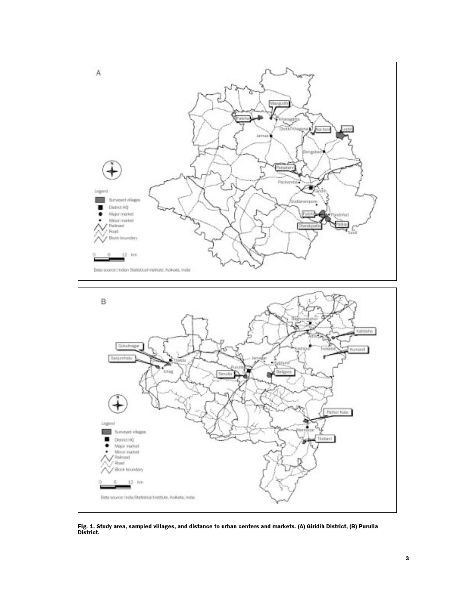

Fig. 1. Study area, sampled villages, and distance to urban centers and markets. (A) Giridih District, (B) Purulia<br>District.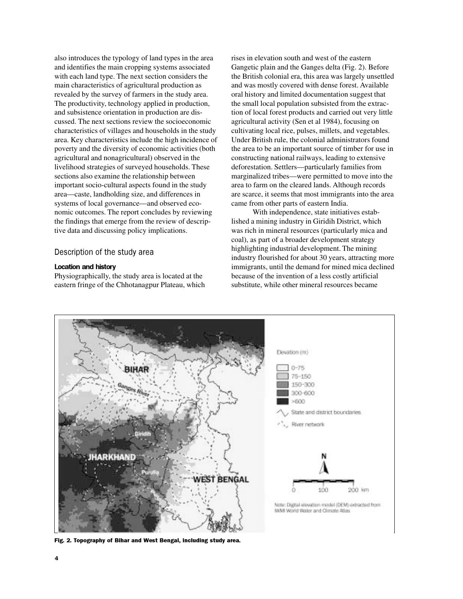also introduces the typology of land types in the area and identifies the main cropping systems associated with each land type. The next section considers the main characteristics of agricultural production as revealed by the survey of farmers in the study area. The productivity, technology applied in production, and subsistence orientation in production are discussed. The next sections review the socioeconomic characteristics of villages and households in the study area. Key characteristics include the high incidence of poverty and the diversity of economic activities (both agricultural and nonagricultural) observed in the livelihood strategies of surveyed households. These sections also examine the relationship between important socio-cultural aspects found in the study area—caste, landholding size, and differences in systems of local governance—and observed economic outcomes. The report concludes by reviewing the findings that emerge from the review of descriptive data and discussing policy implications.

## Description of the study area

### Location and history

Physiographically, the study area is located at the eastern fringe of the Chhotanagpur Plateau, which rises in elevation south and west of the eastern Gangetic plain and the Ganges delta (Fig. 2). Before the British colonial era, this area was largely unsettled and was mostly covered with dense forest. Available oral history and limited documentation suggest that the small local population subsisted from the extraction of local forest products and carried out very little agricultural activity (Sen et al 1984), focusing on cultivating local rice, pulses, millets, and vegetables. Under British rule, the colonial administrators found the area to be an important source of timber for use in constructing national railways, leading to extensive deforestation. Settlers—particularly families from marginalized tribes—were permitted to move into the area to farm on the cleared lands. Although records are scarce, it seems that most immigrants into the area came from other parts of eastern India.

With independence, state initiatives established a mining industry in Giridih District, which was rich in mineral resources (particularly mica and coal), as part of a broader development strategy highlighting industrial development. The mining industry flourished for about 30 years, attracting more immigrants, until the demand for mined mica declined because of the invention of a less costly artificial substitute, while other mineral resources became



Fig. 2. Topography of Bihar and West Bengal, including study area.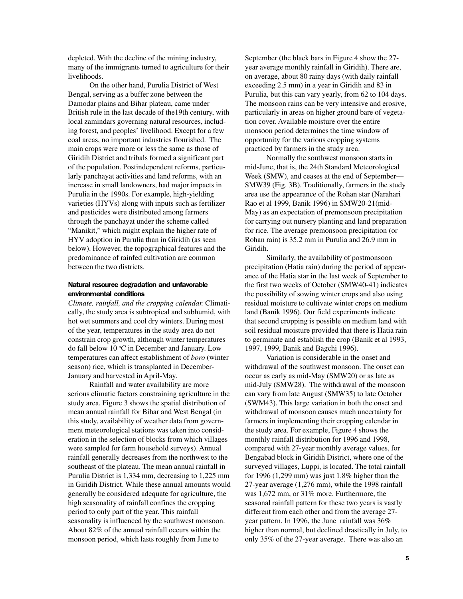depleted. With the decline of the mining industry, many of the immigrants turned to agriculture for their livelihoods.

On the other hand, Purulia District of West Bengal, serving as a buffer zone between the Damodar plains and Bihar plateau, came under British rule in the last decade of the19th century, with local zamindars governing natural resources, including forest, and peoples' livelihood. Except for a few coal areas, no important industries flourished. The main crops were more or less the same as those of Giridih District and tribals formed a significant part of the population. Postindependent reforms, particularly panchayat activities and land reforms, with an increase in small landowners, had major impacts in Purulia in the 1990s. For example, high-yielding varieties (HYVs) along with inputs such as fertilizer and pesticides were distributed among farmers through the panchayat under the scheme called "Manikit," which might explain the higher rate of HYV adoption in Purulia than in Giridih (as seen below). However, the topographical features and the predominance of rainfed cultivation are common between the two districts.

## Natural resource degradation and unfavorable environmental conditions

*Climate, rainfall, and the cropping calendar.* Climatically, the study area is subtropical and subhumid, with hot wet summers and cool dry winters. During most of the year, temperatures in the study area do not constrain crop growth, although winter temperatures do fall below  $10^{\circ}$ C in December and January. Low temperatures can affect establishment of *boro* (winter season) rice, which is transplanted in December-January and harvested in April-May.

Rainfall and water availability are more serious climatic factors constraining agriculture in the study area. Figure 3 shows the spatial distribution of mean annual rainfall for Bihar and West Bengal (in this study, availability of weather data from government meteorological stations was taken into consideration in the selection of blocks from which villages were sampled for farm household surveys). Annual rainfall generally decreases from the northwest to the southeast of the plateau. The mean annual rainfall in Purulia District is 1,334 mm, decreasing to 1,225 mm in Giridih District. While these annual amounts would generally be considered adequate for agriculture, the high seasonality of rainfall confines the cropping period to only part of the year. This rainfall seasonality is influenced by the southwest monsoon. About 82% of the annual rainfall occurs within the monsoon period, which lasts roughly from June to

September (the black bars in Figure 4 show the 27 year average monthly rainfall in Giridih). There are, on average, about 80 rainy days (with daily rainfall exceeding 2.5 mm) in a year in Giridih and 83 in Purulia, but this can vary yearly, from 62 to 104 days. The monsoon rains can be very intensive and erosive, particularly in areas on higher ground bare of vegetation cover. Available moisture over the entire monsoon period determines the time window of opportunity for the various cropping systems practiced by farmers in the study area.

Normally the southwest monsoon starts in mid-June, that is, the 24th Standard Meteorological Week (SMW), and ceases at the end of September— SMW39 (Fig. 3B). Traditionally, farmers in the study area use the appearance of the Rohan star (Narahari Rao et al 1999, Banik 1996) in SMW20-21(mid-May) as an expectation of premonsoon precipitation for carrying out nursery planting and land preparation for rice. The average premonsoon precipitation (or Rohan rain) is 35.2 mm in Purulia and 26.9 mm in Giridih.

Similarly, the availability of postmonsoon precipitation (Hatia rain) during the period of appearance of the Hatia star in the last week of September to the first two weeks of October (SMW40-41) indicates the possibility of sowing winter crops and also using residual moisture to cultivate winter crops on medium land (Banik 1996). Our field experiments indicate that second cropping is possible on medium land with soil residual moisture provided that there is Hatia rain to germinate and establish the crop (Banik et al 1993, 1997, 1999, Banik and Bagchi 1996).

Variation is considerable in the onset and withdrawal of the southwest monsoon. The onset can occur as early as mid-May (SMW20) or as late as mid-July (SMW28). The withdrawal of the monsoon can vary from late August (SMW35) to late October (SWM43). This large variation in both the onset and withdrawal of monsoon causes much uncertainty for farmers in implementing their cropping calendar in the study area. For example, Figure 4 shows the monthly rainfall distribution for 1996 and 1998, compared with 27-year monthly average values, for Bengabad block in Giridih District, where one of the surveyed villages, Luppi, is located. The total rainfall for 1996 (1,299 mm) was just 1.8% higher than the 27-year average (1,276 mm), while the 1998 rainfall was 1,672 mm, or 31% more. Furthermore, the seasonal rainfall pattern for these two years is vastly different from each other and from the average 27 year pattern. In 1996, the June rainfall was 36% higher than normal, but declined drastically in July, to only 35% of the 27-year average. There was also an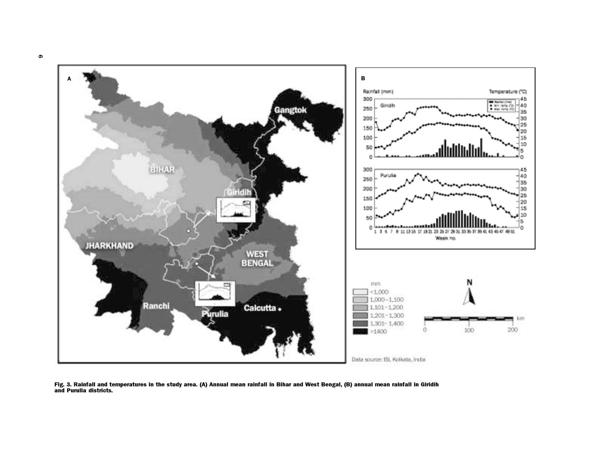

Data source: ISI, Kolkata, India

Fig. 3. Rainfall and temperatures in the study area. (A) Annual mean rainfall in Bihar and West Bengal, (B) annual mean rainfall in Giridihand Purulia districts.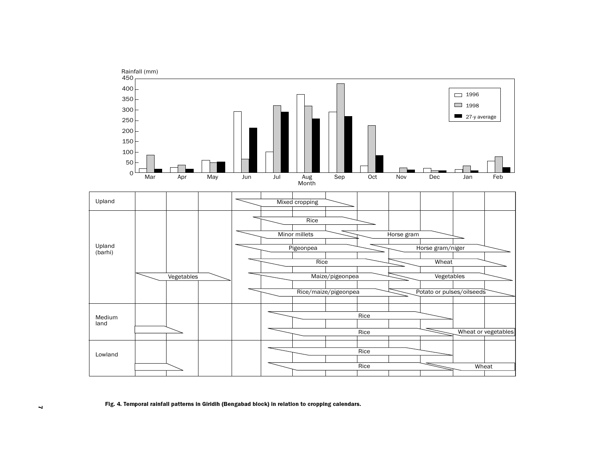

#### Fig. 4. Temporal rainfall patterns in Giridih (Bengabad block) in relation to cropping calendars.

 $\blacktriangleleft$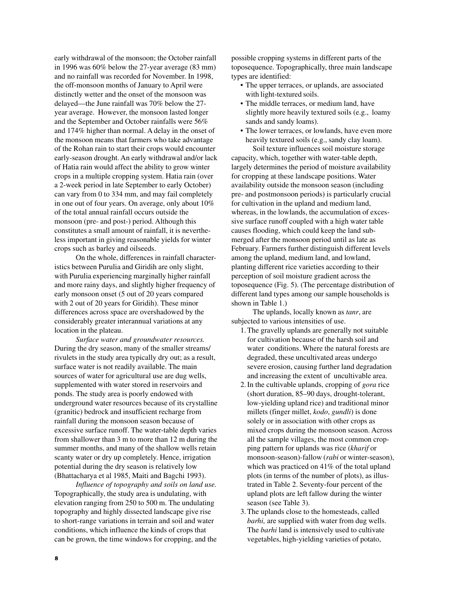early withdrawal of the monsoon; the October rainfall in 1996 was 60% below the 27-year average (83 mm) and no rainfall was recorded for November. In 1998, the off-monsoon months of January to April were distinctly wetter and the onset of the monsoon was delayed—the June rainfall was 70% below the 27 year average. However, the monsoon lasted longer and the September and October rainfalls were 56% and 174% higher than normal. A delay in the onset of the monsoon means that farmers who take advantage of the Rohan rain to start their crops would encounter early-season drought. An early withdrawal and/or lack of Hatia rain would affect the ability to grow winter crops in a multiple cropping system. Hatia rain (over a 2-week period in late September to early October) can vary from 0 to 334 mm, and may fail completely in one out of four years. On average, only about 10% of the total annual rainfall occurs outside the monsoon (pre- and post-) period. Although this constitutes a small amount of rainfall, it is nevertheless important in giving reasonable yields for winter crops such as barley and oilseeds.

On the whole, differences in rainfall characteristics between Purulia and Giridih are only slight, with Purulia experiencing marginally higher rainfall and more rainy days, and slightly higher frequency of early monsoon onset (5 out of 20 years compared with 2 out of 20 years for Giridih). These minor differences across space are overshadowed by the considerably greater interannual variations at any location in the plateau.

*Surface water and groundwater resources.* During the dry season, many of the smaller streams/ rivulets in the study area typically dry out; as a result, surface water is not readily available. The main sources of water for agricultural use are dug wells, supplemented with water stored in reservoirs and ponds. The study area is poorly endowed with underground water resources because of its crystalline (granitic) bedrock and insufficient recharge from rainfall during the monsoon season because of excessive surface runoff. The water-table depth varies from shallower than 3 m to more than 12 m during the summer months, and many of the shallow wells retain scanty water or dry up completely. Hence, irrigation potential during the dry season is relatively low (Bhattacharya et al 1985, Maiti and Bagchi 1993).

*Influence of topography and soils on land use.* Topographically, the study area is undulating, with elevation ranging from 250 to 500 m. The undulating topography and highly dissected landscape give rise to short-range variations in terrain and soil and water conditions, which influence the kinds of crops that can be grown, the time windows for cropping, and the possible cropping systems in different parts of the toposequence. Topographically, three main landscape types are identified:

- The upper terraces, or uplands, are associated with light-textured soils.
- The middle terraces, or medium land, have slightly more heavily textured soils (e.g., loamy sands and sandy loams).
- The lower terraces, or lowlands, have even more heavily textured soils (e.g., sandy clay loam).

Soil texture influences soil moisture storage capacity, which, together with water-table depth, largely determines the period of moisture availability for cropping at these landscape positions. Water availability outside the monsoon season (including pre- and postmonsoon periods) is particularly crucial for cultivation in the upland and medium land, whereas, in the lowlands, the accumulation of excessive surface runoff coupled with a high water table causes flooding, which could keep the land submerged after the monsoon period until as late as February. Farmers further distinguish different levels among the upland, medium land, and lowland, planting different rice varieties according to their perception of soil moisture gradient across the toposequence (Fig. 5). (The percentage distribution of different land types among our sample households is shown in Table 1.)

The uplands, locally known as *tanr*, are subjected to various intensities of use.

- 1. The gravelly uplands are generally not suitable for cultivation because of the harsh soil and water conditions. Where the natural forests are degraded, these uncultivated areas undergo severe erosion, causing further land degradation and increasing the extent of uncultivable area.
- 2. In the cultivable uplands, cropping of *gora* rice (short duration, 85–90 days, drought-tolerant, low-yielding upland rice) and traditional minor millets (finger millet, *kodo*, *gundli*) is done solely or in association with other crops as mixed crops during the monsoon season. Across all the sample villages, the most common cropping pattern for uplands was rice (*kharif* or monsoon-season)-fallow (*rabi* or winter-season), which was practiced on 41% of the total upland plots (in terms of the number of plots), as illustrated in Table 2. Seventy-four percent of the upland plots are left fallow during the winter season (see Table 3).
- 3. The uplands close to the homesteads, called *barhi,* are supplied with water from dug wells. The *barhi* land is intensively used to cultivate vegetables, high-yielding varieties of potato,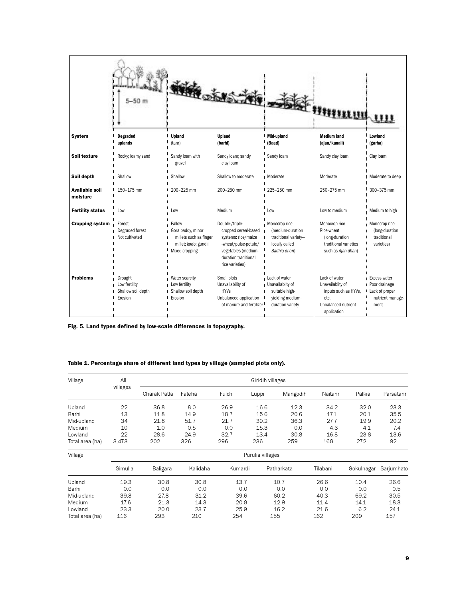|                                   | $-50$ m                                                   |                                                                                                 | <b>DETS THE</b>                                                                                                                                          |                                                                                             | <b>EXAMPLE OF THE REAL PROPERTY</b>                                                                     |                                                                               |
|-----------------------------------|-----------------------------------------------------------|-------------------------------------------------------------------------------------------------|----------------------------------------------------------------------------------------------------------------------------------------------------------|---------------------------------------------------------------------------------------------|---------------------------------------------------------------------------------------------------------|-------------------------------------------------------------------------------|
| <b>System</b>                     | <b>Degraded</b><br>uplands                                | Upland<br>(tanr)                                                                                | Upland<br>(barhi)                                                                                                                                        | Mid-upland<br>(Baad)                                                                        | <b>Medium land</b><br>(ajan/kanali)                                                                     | Lowland<br>(garha)                                                            |
| Soil texture                      | Rocky; loamy sand                                         | Sandy loam with<br>gravel                                                                       | Sandy loam; sandy<br>clay loam                                                                                                                           | Sandy loam                                                                                  | Sandy clay loam                                                                                         | Clay Ioam                                                                     |
| Soil depth                        | Shallow                                                   | Shallow                                                                                         | Shallow to moderate                                                                                                                                      | I Moderate                                                                                  | Moderate                                                                                                | Moderate to deep                                                              |
| <b>Available soil</b><br>moisture | 150-175 mm                                                | 200-225 mm                                                                                      | 200-250 mm                                                                                                                                               | 1 225-250 mm                                                                                | 250-275 mm                                                                                              | 300-375 mm                                                                    |
| <b>Fertility status</b>           | Low                                                       | Low                                                                                             | Medium                                                                                                                                                   | Low                                                                                         | Low to medium                                                                                           | Medium to high                                                                |
| <b>Cropping system</b>            | Forest<br>Degraded forest<br>Not cultivated               | Fallow<br>Gora paddy, minor<br>millets such as finger<br>millet; kodo; gundli<br>Mixed cropping | Double-/triple-<br>cropped cereal-based<br>systems: rice/maize<br>-wheat/pulse-potato/<br>vegetables (medium-<br>duration traditional<br>rice varieties) | Monocrop rice<br>(medium-duration<br>traditional variety-<br>locally called<br>Badhia dhan) | Monocrop rice<br>Rice-wheat<br>(long-duration<br>traditional varieties<br>such as Ajan dhan)            | Monocrop rice<br>(long-duration<br>traditional<br>varieties)                  |
| <b>Problems</b>                   | Drought<br>Low fertility<br>Shallow soil depth<br>Erosion | Water scarcity<br>Low fertility<br>Shallow soil depth<br>Erosion                                | Small plots<br>Unavailability of<br><b>HYVs</b><br>Unbalanced application<br>of manure and fertilizer I                                                  | Lack of water<br>Unavailablity of<br>suitable high-<br>yielding medium-<br>duration variety | Lack of water<br>Unavailablity of<br>inputs such as HYVs,<br>etc.<br>Unbalanced nutrient<br>application | Excess water<br>Poor drainage<br>I Lack of proper<br>nutrient manage-<br>ment |

Fig. 5. Land types defined by low-scale differences in topography.

## Table 1. Percentage share of different land types by village (sampled plots only).

| Village         | All              | Giridih villages |          |         |       |            |          |            |            |  |
|-----------------|------------------|------------------|----------|---------|-------|------------|----------|------------|------------|--|
|                 | villages         | Charak Patla     | Fateha   | Fulchi  | Luppi | Mangodih   | Naitanr  | Palkia     | Parsatanr  |  |
| Upland          | 22               | 36.8             | 8.0      | 26.9    | 16.6  | 12.3       | 34.2     | 32.0       | 23.3       |  |
| Barhi           | 13               | 11.8             | 14.9     | 18.7    | 15.6  | 20.6       | 17.1     | 20.1       | 35.5       |  |
| Mid-upland      | 34               | 21.8             | 51.7     | 21.7    | 39.2  | 36.3       | 27.7     | 19.9       | 20.2       |  |
| Medium          | 10               | 1.0              | 0.5      | 0.0     | 15.3  | 0.0        | 4.3      | 4.1        | 7.4        |  |
| Lowland         | 22               | 28.6             | 24.9     | 32.7    | 13.4  | 30.8       | 16.8     | 23.8       | 13.6       |  |
| Total area (ha) | 3,473            | 202              | 326      | 296     | 236   | 259        | 168      | 272        | 92         |  |
| Village         | Purulia villages |                  |          |         |       |            |          |            |            |  |
|                 | Simulia          | Baligara         | Kalidaha | Kumardi |       | Patharkata | Tilabani | Gokulnagar | Sarjumhato |  |
| Upland          | 19.3             | 30.8             | 30.8     | 13.7    |       | 10.7       | 26.6     | 10.4       | 26.6       |  |
| Barhi           | 0.0              | 0.0              | 0.0      | 0.0     |       | 0.0        | 0.0      | 0.0        | 0.5        |  |
| Mid-upland      | 39.8             | 27.8             | 31.2     | 39.6    |       | 60.2       | 40.3     | 69.2       | 30.5       |  |
| Medium          | 17.6             | 21.3             | 14.3     | 20.8    |       | 12.9       | 11.4     | 14.1       | 18.3       |  |
| Lowland         | 23.3             | 20.0             | 23.7     | 25.9    |       | 16.2       | 21.6     | 6.2        | 24.1       |  |
| Total area (ha) | 116              | 293              | 210      | 254     |       | 155        | 162      | 209        | 157        |  |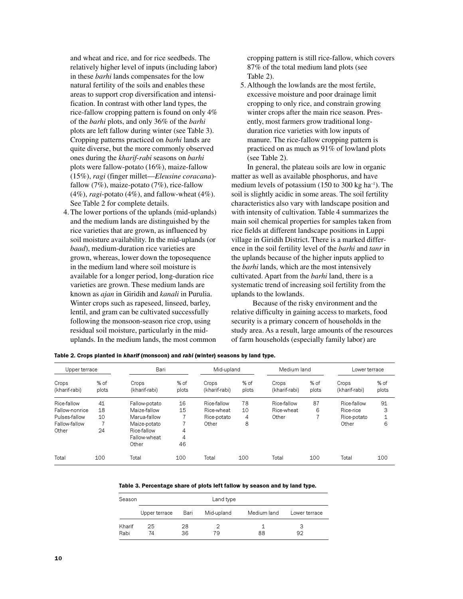and wheat and rice, and for rice seedbeds. The relatively higher level of inputs (including labor) in these *barhi* lands compensates for the low natural fertility of the soils and enables these areas to support crop diversification and intensification. In contrast with other land types, the rice-fallow cropping pattern is found on only 4% of the *barhi* plots, and only 36% of the *barhi* plots are left fallow during winter (see Table 3). Cropping patterns practiced on *barhi* lands are quite diverse, but the more commonly observed ones during the *kharif*-*rabi* seasons on *barhi* plots were fallow-potato (16%), maize-fallow (15%), *ragi* (finger millet—*Eleusine coracana*) fallow (7%), maize-potato (7%), rice-fallow (4%), *ragi*-potato (4%), and fallow-wheat (4%). See Table 2 for complete details.

4. The lower portions of the uplands (mid-uplands) and the medium lands are distinguished by the rice varieties that are grown, as influenced by soil moisture availability. In the mid-uplands (or *baad*), medium-duration rice varieties are grown, whereas, lower down the toposequence in the medium land where soil moisture is available for a longer period, long-duration rice varieties are grown. These medium lands are known as *ajan* in Giridih and *kanali* in Purulia. Winter crops such as rapeseed, linseed, barley, lentil, and gram can be cultivated successfully following the monsoon-season rice crop, using residual soil moisture, particularly in the miduplands. In the medium lands, the most common

cropping pattern is still rice-fallow, which covers 87% of the total medium land plots (see Table 2).

5. Although the lowlands are the most fertile, excessive moisture and poor drainage limit cropping to only rice, and constrain growing winter crops after the main rice season. Presently, most farmers grow traditional longduration rice varieties with low inputs of manure. The rice-fallow cropping pattern is practiced on as much as 91% of lowland plots (see Table 2).

In general, the plateau soils are low in organic matter as well as available phosphorus, and have medium levels of potassium  $(150 \text{ to } 300 \text{ kg ha}^{-1})$ . The soil is slightly acidic in some areas. The soil fertility characteristics also vary with landscape position and with intensity of cultivation. Table 4 summarizes the main soil chemical properties for samples taken from rice fields at different landscape positions in Luppi village in Giridih District. There is a marked difference in the soil fertility level of the *barhi* and *tanr* in the uplands because of the higher inputs applied to the *barhi* lands, which are the most intensively cultivated. Apart from the *barhi* land, there is a systematic trend of increasing soil fertility from the uplands to the lowlands.

Because of the risky environment and the relative difficulty in gaining access to markets, food security is a primary concern of households in the study area. As a result, large amounts of the resources of farm households (especially family labor) are

|  |  |  | Table 2. Crops planted in <i>kharif</i> (monsoon) and <i>rabi</i> (winter) seasons by land type. |
|--|--|--|--------------------------------------------------------------------------------------------------|
|  |  |  |                                                                                                  |

| Upper terrace          |               | Bari                   |               | Mid-upland             |               | Medium land            |               | Lower terrace          |                               |
|------------------------|---------------|------------------------|---------------|------------------------|---------------|------------------------|---------------|------------------------|-------------------------------|
| Crops<br>(kharif-rabi) | % of<br>plots | Crops<br>(kharif-rabi) | % of<br>plots | Crops<br>(kharif-rabi) | % of<br>plots | Crops<br>(kharif-rabi) | % of<br>plots | Crops<br>(kharif-rabi) | % of<br>plots                 |
| Rice-fallow            | 41            | Fallow-potato          | 16            | Rice-fallow            | 78            | Rice-fallow            | 87            | Rice-fallow            | 91                            |
| Fallow-nonrice         | 18            | Maize-fallow           | 15            | Rice-wheat             | 10            | Rice-wheat             | 6             | Rice-rice              | 3                             |
| Pulses-fallow          | 10            | Marua-fallow           |               | Rice-potato            | 4             | Other                  |               | Rice-potato            | $\overline{\phantom{a}}$<br>ᅩ |
| Fallow-fallow          |               | Maize-potato           |               | Other                  | 8             |                        |               | Other                  | 6                             |
| Other                  | 24            | Rice-fallow            | 4             |                        |               |                        |               |                        |                               |
|                        |               | Fallow-wheat           | 4             |                        |               |                        |               |                        |                               |
|                        |               | Other                  | 46            |                        |               |                        |               |                        |                               |
| Total                  | 100           | Total                  | 100           | Total                  | 100           | Total                  | 100           | Total                  | 100                           |

| Table 3. Percentage share of plots left fallow by season and by land type. |  |  |  |
|----------------------------------------------------------------------------|--|--|--|
|----------------------------------------------------------------------------|--|--|--|

| Season         | Land type     |          |            |             |               |  |  |
|----------------|---------------|----------|------------|-------------|---------------|--|--|
|                | Upper terrace | Bari     | Mid-upland | Medium land | Lower terrace |  |  |
| Kharif<br>Rabi | 25<br>74      | 28<br>36 | 79         | 88          | З<br>92       |  |  |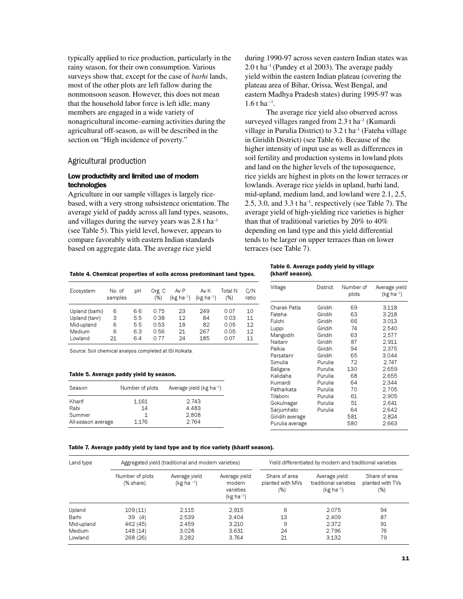typically applied to rice production, particularly in the rainy season, for their own consumption. Various surveys show that, except for the case of *barhi* lands, most of the other plots are left fallow during the nonmonsoon season. However, this does not mean that the household labor force is left idle; many members are engaged in a wide variety of nonagricultural income–earning activities during the agricultural off-season, as will be described in the section on "High incidence of poverty."

## Agricultural production

## Low productivity and limited use of modern technologies

Agriculture in our sample villages is largely ricebased, with a very strong subsistence orientation. The average yield of paddy across all land types, seasons, and villages during the survey years was  $2.8$  t ha<sup>-1</sup> (see Table 5). This yield level, however, appears to compare favorably with eastern Indian standards based on aggregate data. The average rice yield

during 1990-97 across seven eastern Indian states was 2.0 t ha–1 (Pandey et al 2003). The average paddy yield within the eastern Indian plateau (covering the plateau area of Bihar, Orissa, West Bengal, and eastern Madhya Pradesh states) during 1995-97 was  $1.6$  t ha<sup>-1</sup>.

The average rice yield also observed across surveyed villages ranged from  $2.3$  t ha<sup>-1</sup> (Kumardi village in Purulia District) to  $3.2$  t ha<sup>-1</sup> (Fateha village in Giridih District) (see Table 6). Because of the higher intensity of input use as well as differences in soil fertility and production systems in lowland plots and land on the higher levels of the toposequence, rice yields are highest in plots on the lower terraces or lowlands. Average rice yields in upland, barhi land, mid-upland, medium land, and lowland were 2.1, 2.5, 2.5, 3.0, and 3.3 t ha<sup>-1</sup>, respectively (see Table 7). The average yield of high-yielding rice varieties is higher than that of traditional varieties by 20% to 40% depending on land type and this yield differential tends to be larger on upper terraces than on lower terraces (see Table 7).

Table 4. Chemical properties of soils across predominant land types.

| Ecosystem      | No. of<br>samples | рH  | Org. C<br>(%) | Av P<br>(kg ha $^{-1}$ ) | Av K<br>(kg ha $^{-1}$ ) | Total N<br>(%) | C/N<br>ratio |
|----------------|-------------------|-----|---------------|--------------------------|--------------------------|----------------|--------------|
| Upland (barhi) | 6                 | 6.6 | 0.75          | 23                       | 249                      | 0.07           | 10           |
| Upland (tanr)  | З                 | 5.5 | 0.38          | 12                       | 84                       | 0.03           | 11           |
| Mid-upland     | 6                 | 5.5 | 0.53          | 18                       | 82                       | 0.05           | 12           |
| Medium         | 6                 | 6.3 | 0.56          | 21                       | 267                      | 0.05           | 12           |
| Lowland        | 21                | 64  | በ 77          | 24                       | 185                      | 0.07           | 11           |

Source: Soil chemical analysis completed at ISI Kolkata.

#### Table 5. Average paddy yield by season.

| Season                                         | Number of plots      | Average yield ( $kg$ ha <sup>-1</sup> ) |
|------------------------------------------------|----------------------|-----------------------------------------|
| Kharif<br>Rabi<br>Summer<br>All-season average | 1.161<br>14<br>1.176 | 2.743<br>4.483<br>2.808<br>2.764        |

#### Table 6. Average paddy yield by village (kharif season).

| Village         | District | Number of<br>plots | Average yield<br>(kg ha $^{-1}$ ) |
|-----------------|----------|--------------------|-----------------------------------|
| Charak Patla    | Giridih  | 69                 | 3,118                             |
| Fateha          | Giridih  | 63                 | 3,218                             |
| Fulchi          | Giridih  | 66                 | 3,013                             |
| Luppi           | Giridih  | 74                 | 2,540                             |
| Mangodih        | Giridih  | 63                 | 2,577                             |
| Naitanr         | Giridih  | 87                 | 2,911                             |
| Palkia          | Giridih  | 94                 | 2.375                             |
| Parsatanr       | Giridih  | 65                 | 3,044                             |
| Simulia         | Purulia  | 72                 | 2.747                             |
| Baligara        | Purulia  | 130                | 2.659                             |
| Kalidaha        | Purulia  | 68                 | 2,655                             |
| Kumardi         | Purulia  | 64                 | 2.344                             |
| Patharkata      | Purulia  | 70                 | 2.705                             |
| Tilaboni        | Purulia  | 61                 | 2,905                             |
| Gokulnagar      | Purulia  | 51                 | 2,641                             |
| Sarjumhato      | Purulia  | 64                 | 2.642                             |
| Giridih average |          | 581                | 2,824                             |
| Purulia average |          | 580                | 2,663                             |

| Table 7. Average paddy yield by land type and by rice variety (kharif season). |
|--------------------------------------------------------------------------------|
|--------------------------------------------------------------------------------|

| Land type  |                              | Aggregated yield (traditional and modern varieties) |                                                           |                                              | Yield differentiated by modern and traditional varieties  |                                             |  |  |
|------------|------------------------------|-----------------------------------------------------|-----------------------------------------------------------|----------------------------------------------|-----------------------------------------------------------|---------------------------------------------|--|--|
|            | Number of plots<br>(% share) | Average yield<br>(kg ha $^{-1}$ )                   | Average yield:<br>modern<br>varieties<br>(kg ha $^{-1}$ ) | Share of area<br>planted with MVs<br>$(\% )$ | Average yield:<br>traditional varieties<br>$(kg ha^{-1})$ | Share of area<br>planted with TVs<br>$(\%)$ |  |  |
| Upland     | 109(11)                      | 2.115                                               | 2.915                                                     | 6                                            | 2.075                                                     | 94                                          |  |  |
| Barhi      | 39<br>(4)                    | 2.539                                               | 3.404                                                     | 13                                           | 2.409                                                     | 87                                          |  |  |
| Mid-upland | 462 (45)                     | 2.459                                               | 3.210                                                     | 9                                            | 2.372                                                     | 91                                          |  |  |
| Medium     | 148 (14)                     | 3.028                                               | 3.631                                                     | 24                                           | 2.796                                                     | 76                                          |  |  |
| Lowland    | 268 (26)                     | 3.282                                               | 3.764                                                     | 21                                           | 3.132                                                     | 79                                          |  |  |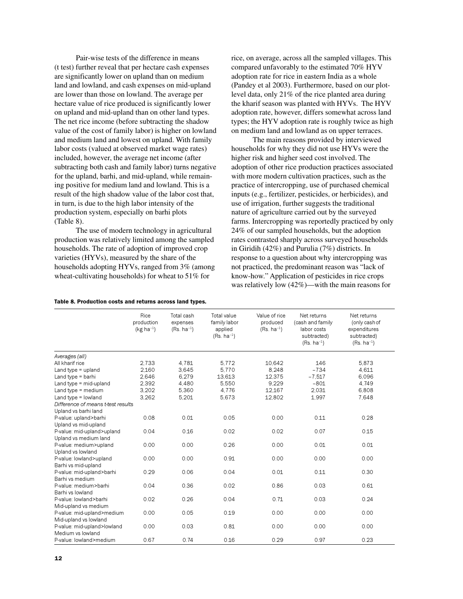Pair-wise tests of the difference in means (t test) further reveal that per hectare cash expenses are significantly lower on upland than on medium land and lowland, and cash expenses on mid-upland are lower than those on lowland. The average per hectare value of rice produced is significantly lower on upland and mid-upland than on other land types. The net rice income (before subtracting the shadow value of the cost of family labor) is higher on lowland and medium land and lowest on upland. With family labor costs (valued at observed market wage rates) included, however, the average net income (after subtracting both cash and family labor) turns negative for the upland, barhi, and mid-upland, while remaining positive for medium land and lowland. This is a result of the high shadow value of the labor cost that, in turn, is due to the high labor intensity of the production system, especially on barhi plots (Table 8).

The use of modern technology in agricultural production was relatively limited among the sampled households. The rate of adoption of improved crop varieties (HYVs), measured by the share of the households adopting HYVs, ranged from 3% (among wheat-cultivating households) for wheat to 51% for

|  |  |  | Table 8. Production costs and returns across land types. |  |  |  |  |  |  |
|--|--|--|----------------------------------------------------------|--|--|--|--|--|--|
|--|--|--|----------------------------------------------------------|--|--|--|--|--|--|

rice, on average, across all the sampled villages. This compared unfavorably to the estimated 70% HYV adoption rate for rice in eastern India as a whole (Pandey et al 2003). Furthermore, based on our plotlevel data, only 21% of the rice planted area during the kharif season was planted with HYVs. The HYV adoption rate, however, differs somewhat across land types; the HYV adoption rate is roughly twice as high on medium land and lowland as on upper terraces.

The main reasons provided by interviewed households for why they did not use HYVs were the higher risk and higher seed cost involved. The adoption of other rice production practices associated with more modern cultivation practices, such as the practice of intercropping, use of purchased chemical inputs (e.g., fertilizer, pesticides, or herbicides), and use of irrigation, further suggests the traditional nature of agriculture carried out by the surveyed farms. Intercropping was reportedly practiced by only 24% of our sampled households, but the adoption rates contrasted sharply across surveyed households in Giridih (42%) and Purulia (7%) districts. In response to a question about why intercropping was not practiced, the predominant reason was "lack of know-how." Application of pesticides in rice crops was relatively low (42%)—with the main reasons for

|                                                  | Rice<br>production<br>( $kg$ ha <sup>-1</sup> ) | Total cash<br>expenses<br>$(Rs. ha^{-1})$ | Total value<br>family labor<br>applied<br>$(Rs. ha^{-1})$ | Value of rice<br>produced<br>$(Rs. ha^{-1})$ | Net returns<br>(cash and family<br>labor costs<br>subtracted)<br>$(Rs. ha^{-1})$ | Net returns<br>(only cash of<br>expenditures<br>subtracted)<br>$(Rs. ha^{-1})$ |
|--------------------------------------------------|-------------------------------------------------|-------------------------------------------|-----------------------------------------------------------|----------------------------------------------|----------------------------------------------------------------------------------|--------------------------------------------------------------------------------|
| Averages (all)                                   |                                                 |                                           |                                                           |                                              |                                                                                  |                                                                                |
| All kharif rice                                  | 2,733                                           | 4,781                                     | 5.772                                                     | 10,642                                       | 146                                                                              | 5,873                                                                          |
| Land type = upland                               | 2.160                                           | 3.645                                     | 5.770                                                     | 8.248                                        | $-734$                                                                           | 4.611                                                                          |
| Land type $=$ barhi                              | 2,646                                           | 6,279                                     | 13,613                                                    | 12,375                                       | $-7.517$                                                                         | 6.096                                                                          |
| Land type $=$ mid-upland                         | 2,392                                           | 4.480                                     | 5.550                                                     | 9.229                                        | $-801$                                                                           | 4.749                                                                          |
| Land type = medium                               | 3,202                                           | 5,360                                     | 4.776                                                     | 12,167                                       | 2.031                                                                            | 6,808                                                                          |
| Land type = lowland                              | 3,262                                           | 5,201                                     | 5,673                                                     | 12,802                                       | 1,997                                                                            | 7,648                                                                          |
| Difference of means t-test results               |                                                 |                                           |                                                           |                                              |                                                                                  |                                                                                |
| Upland vs barhi land                             |                                                 |                                           |                                                           |                                              |                                                                                  |                                                                                |
| P-value: upland>barhi                            | 0.08                                            | 0.01                                      | 0.05                                                      | 0.00                                         | 0.11                                                                             | 0.28                                                                           |
| Upland vs mid-upland                             |                                                 |                                           |                                                           |                                              |                                                                                  |                                                                                |
| P-value: mid-upland>upland                       | 0.04                                            | 0.16                                      | 0.02                                                      | 0.02                                         | 0.07                                                                             | 0.15                                                                           |
| Upland vs medium land                            |                                                 |                                           |                                                           |                                              |                                                                                  |                                                                                |
| P-value: medium>upland                           | 0.00                                            | 0.00                                      | 0.26                                                      | 0.00                                         | 0.01                                                                             | 0.01                                                                           |
| Upland vs lowland                                |                                                 |                                           |                                                           |                                              |                                                                                  |                                                                                |
| P-value: lowland>upland                          | 0.00                                            | 0.00                                      | 0.91                                                      | 0.00                                         | 0.00                                                                             | 0.00                                                                           |
| Barhi vs mid-upland                              |                                                 |                                           |                                                           |                                              |                                                                                  |                                                                                |
| P-value: mid-upland>barhi                        | 0.29                                            | 0.06                                      | 0.04                                                      | 0.01                                         | 0.11                                                                             | 0.30                                                                           |
| Barhi vs medium                                  |                                                 |                                           |                                                           |                                              |                                                                                  |                                                                                |
| P-value: medium>barhi                            | 0.04                                            | 0.36                                      | 0.02                                                      | 0.86                                         | 0.03                                                                             | 0.61                                                                           |
| Barhi vs lowland                                 |                                                 |                                           |                                                           |                                              |                                                                                  |                                                                                |
| P-value: lowland>barhi                           | 0.02                                            | 0.26                                      | 0.04                                                      | 0.71                                         | 0.03                                                                             | 0.24                                                                           |
| Mid-upland vs medium                             |                                                 |                                           |                                                           |                                              |                                                                                  |                                                                                |
| P-value: mid-upland>medium                       | 0.00                                            | 0.05                                      | 0.19                                                      | 0.00                                         | 0.00                                                                             | 0.00                                                                           |
| Mid-upland vs lowland                            | 0.00                                            |                                           |                                                           |                                              |                                                                                  |                                                                                |
| P-value: mid-upland>lowland<br>Medium vs lowland |                                                 | 0.03                                      | 0.81                                                      | 0.00                                         | 0.00                                                                             | 0.00                                                                           |
| P-value: lowland>medium                          | 0.67                                            | 0.74                                      | 0.16                                                      | 0.29                                         | 0.97                                                                             | 0.23                                                                           |
|                                                  |                                                 |                                           |                                                           |                                              |                                                                                  |                                                                                |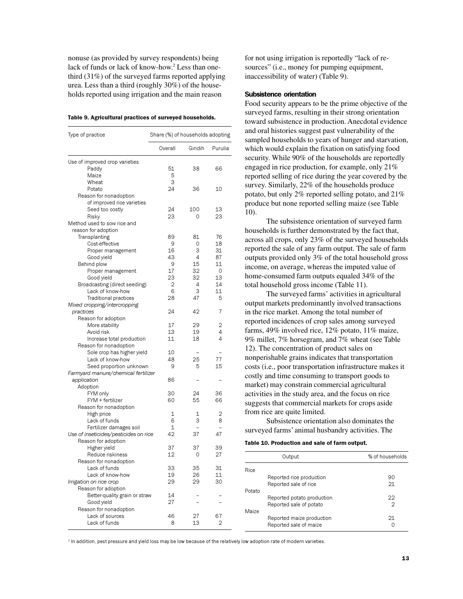nonuse (as provided by survey respondents) being lack of funds or lack of know-how.<sup>2</sup> Less than onethird (31%) of the surveyed farms reported applying urea. Less than a third (roughly 30%) of the households reported using irrigation and the main reason

| Type of practice                      | Share (%) of households adopting |         |         |
|---------------------------------------|----------------------------------|---------|---------|
|                                       | Overall                          | Giridih | Purulia |
| Use of improved crop varieties        |                                  |         |         |
| Paddy                                 | 51                               | 38      | 66      |
| Maize                                 | 5                                |         |         |
| Wheat                                 | 3                                |         |         |
| Potato                                | 24                               | 36      | 10      |
| Reason for nonadoption                |                                  |         |         |
| of improved rice varieties            |                                  |         |         |
| Seed too costly                       | 24                               | 100     | 13      |
| Risky                                 | 23                               | 0       | 23      |
| Method used to sow rice and           |                                  |         |         |
| reason for adoption                   |                                  |         |         |
| Transplanting                         | 89                               | 81      | 76      |
| Cost-effective                        | 9                                | 0       | 18      |
| Proper management                     | 16                               | 3       | 31      |
| Good yield                            | 43                               | 4       | 87      |
| Behind plow                           | 9                                | 15      | 11      |
| Proper management                     | 17                               | 32      | 0       |
| Good yield                            | 23                               | 32      | 13      |
| Broadcasting (direct seeding)         | 2                                | 4       | 14      |
| Lack of know-how                      | 6                                | З       | 11      |
| <b>Traditional practices</b>          | 28                               | 47      | 5       |
| Mixed cropping/intercropping          |                                  |         |         |
| practices                             | 24                               | 42      | 7       |
| Reason for adoption                   |                                  |         |         |
| More stability                        | 17                               | 29      | 2       |
| Avoid risk                            | 13                               | 19      | 4       |
| Increase total production             | 11                               | 18      | 4       |
| Reason for nonadoption                |                                  |         |         |
| Sole crop has higher yield            | 10                               |         |         |
| Lack of know-how                      | 48                               | 25      | 77      |
| Seed proportion unknown               | 9                                | 5       | 15      |
| Farmyard manure/chemical fertilizer   |                                  |         |         |
| application                           | 86                               |         |         |
| Adoption                              |                                  |         |         |
| FYM only                              | 30                               | 24      | 36      |
| FYM + fertilizer                      | 60                               | 55      | 66      |
| Reason for nonadoption                |                                  |         |         |
| High price                            | 1                                | 1       | 2       |
| Lack of funds                         | 6                                | З       | 8       |
| Fertilizer damages soil               | 1                                |         |         |
| Use of inseticides/pesticides on rice | 42                               | 37      | 47      |
| Reason for adoption                   |                                  |         |         |
| Higher yield                          | 37                               | 37      | 39      |
| Reduce riskiness                      | 12                               | 0       | 27      |
| Reason for nonadoption                |                                  |         |         |
| Lack of funds                         | 33                               | 35      | 31      |
| Lack of know-how                      | 19                               | 26      | 11      |
| Irrigation on rice crop               | 29                               | 29      | 30      |
| Reason for adoption                   |                                  |         |         |
| Better-quality grain or straw         | 14                               |         |         |
| Good yield                            | 27                               |         |         |
| Reason for nonadoption                |                                  |         |         |
| Lack of sources                       | 46                               | 27      | 67      |
| Lack of funds                         | 8                                | 13      | 2       |

for not using irrigation is reportedly "lack of resources" (i.e., money for pumping equipment, inaccessibility of water) (Table 9).

#### Subsistence orientation

Food security appears to be the prime objective of the surveyed farms, resulting in their strong orientation toward subsistence in production. Anecdotal evidence and oral histories suggest past vulnerability of the sampled households to years of hunger and starvation, which would explain the fixation on satisfying food security. While 90% of the households are reportedly engaged in rice production, for example, only 21% reported selling of rice during the year covered by the survey. Similarly, 22% of the households produce potato, but only 2% reported selling potato, and 21% produce but none reported selling maize (see Table 10).

The subsistence orientation of surveyed farm households is further demonstrated by the fact that, across all crops, only 23% of the surveyed households reported the sale of any farm output. The sale of farm outputs provided only 3% of the total household gross income, on average, whereas the imputed value of home-consumed farm outputs equaled 34% of the total household gross income (Table 11).

The surveyed farms' activities in agricultural output markets predominantly involved transactions in the rice market. Among the total number of reported incidences of crop sales among surveyed farms, 49% involved rice, 12% potato, 11% maize, 9% millet, 7% horsegram, and 7% wheat (see Table 12). The concentration of product sales on nonperishable grains indicates that transportation costs (i.e., poor transportation infrastructure makes it costly and time consuming to transport goods to market) may constrain commercial agricultural activities in the study area, and the focus on rice suggests that commercial markets for crops aside from rice are quite limited.

Subsistence orientation also dominates the surveyed farms' animal husbandry activities. The

Table 10. Production and sale of farm output.

|             | Output                     | % of households |
|-------------|----------------------------|-----------------|
| <b>Rice</b> |                            |                 |
|             | Reported rice production   | 90              |
|             | Reported sale of rice      | 21              |
| Potato      |                            |                 |
|             | Reported potato production | 22              |
|             | Reported sale of potato    | 2               |
| Maize       |                            |                 |
|             | Reported maize production  | 21              |
|             | Reported sale of maize     | Ω               |

 $^2$  In addition, pest pressure and yield loss may be low because of the relatively low adoption rate of modern varieties.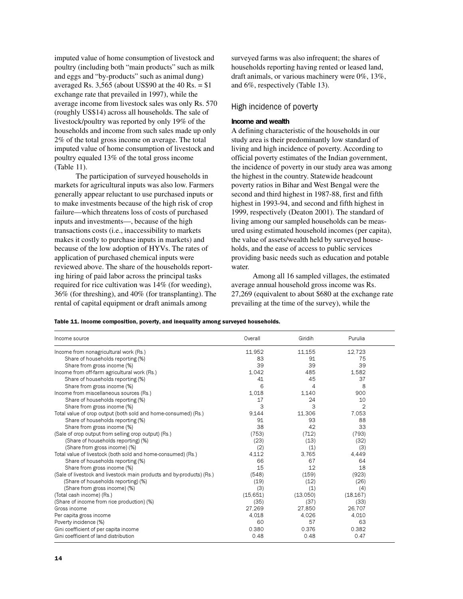imputed value of home consumption of livestock and poultry (including both "main products" such as milk and eggs and "by-products" such as animal dung) averaged Rs.  $3,565$  (about US\$90 at the 40 Rs.  $=$  \$1 exchange rate that prevailed in 1997), while the average income from livestock sales was only Rs. 570 (roughly US\$14) across all households. The sale of livestock/poultry was reported by only 19% of the households and income from such sales made up only 2% of the total gross income on average. The total imputed value of home consumption of livestock and poultry equaled 13% of the total gross income (Table 11).

The participation of surveyed households in markets for agricultural inputs was also low. Farmers generally appear reluctant to use purchased inputs or to make investments because of the high risk of crop failure—which threatens loss of costs of purchased inputs and investments—, because of the high transactions costs (i.e., inaccessibility to markets makes it costly to purchase inputs in markets) and because of the low adoption of HYVs. The rates of application of purchased chemical inputs were reviewed above. The share of the households reporting hiring of paid labor across the principal tasks required for rice cultivation was 14% (for weeding), 36% (for threshing), and 40% (for transplanting). The rental of capital equipment or draft animals among

surveyed farms was also infrequent; the shares of households reporting having rented or leased land, draft animals, or various machinery were 0%, 13%, and 6%, respectively (Table 13).

### High incidence of poverty

#### Income and wealth

A defining characteristic of the households in our study area is their predominantly low standard of living and high incidence of poverty. According to official poverty estimates of the Indian government, the incidence of poverty in our study area was among the highest in the country. Statewide headcount poverty ratios in Bihar and West Bengal were the second and third highest in 1987-88, first and fifth highest in 1993-94, and second and fifth highest in 1999, respectively (Deaton 2001). The standard of living among our sampled households can be measured using estimated household incomes (per capita), the value of assets/wealth held by surveyed households, and the ease of access to public services providing basic needs such as education and potable water.

Among all 16 sampled villages, the estimated average annual household gross income was Rs. 27,269 (equivalent to about \$680 at the exchange rate prevailing at the time of the survey), while the

Table 11. Income composition, poverty, and inequality among surveyed households.

| Income source                                                         | Overall   | Giridih  | Purulia   |  |
|-----------------------------------------------------------------------|-----------|----------|-----------|--|
| Income from nonagricultural work (Rs.)                                | 11,952    | 11,155   | 12,723    |  |
| Share of households reporting (%)                                     | 83        | 91       | 75        |  |
| Share from gross income (%)                                           | 39        | 39       | 39        |  |
| Income from off-farm agricultural work (Rs.)                          | 1.042     | 485      | 1.582     |  |
| Share of households reporting (%)                                     | 41        | 45       | 37        |  |
| Share from gross income (%)                                           | 6         | 4        | 8         |  |
| Income from miscellaneous sources (Rs.)                               | 1,018     | 1.140    | 900       |  |
| Share of households reporting (%)                                     | 17        | 24       | 10        |  |
| Share from gross income (%)                                           | З         | 3        | 2         |  |
| Total value of crop output (both sold and home-consumed) (Rs.)        | 9.144     | 11,306   | 7.053     |  |
| Share of households reporting (%)                                     | 91        | 93       | 88        |  |
| Share from gross income (%)                                           | 38        | 42       | 33        |  |
| (Sale of crop output from selling crop output) (Rs.)                  | (753)     | (712)    | (793)     |  |
| (Share of households reporting) (%)                                   | (23)      | (13)     | (32)      |  |
| (Share from gross income) (%)                                         | (2)       | (1)      | (3)       |  |
| Total value of livestock (both sold and home-consumed) (Rs.)          | 4.112     | 3,765    | 4.449     |  |
| Share of households reporting (%)                                     | 66        | 67       | 64        |  |
| Share from gross income (%)                                           | 15        | 12       | 18        |  |
| (Sale of livestock and livestock main products and by-products) (Rs.) | (548)     | (159)    | (923)     |  |
| (Share of households reporting) (%)                                   | (19)      | (12)     | (26)      |  |
| (Share from gross income) (%)                                         | (3)       | (1)      | (4)       |  |
| (Total cash income) (Rs.)                                             | (15, 651) | (13,050) | (18, 167) |  |
| (Share of income from rice production) (%)                            | (35)      | (37)     | (33)      |  |
| Gross income                                                          | 27.269    | 27,850   | 26.707    |  |
| Per capita gross income                                               | 4.018     | 4,026    | 4.010     |  |
| Poverty incidence (%)                                                 | 60        | 57       | 63        |  |
| Gini coefficient of per capita income                                 | 0.380     | 0.376    | 0.382     |  |
| Gini coefficient of land distribution                                 | 0.48      | 0.48     | 0.47      |  |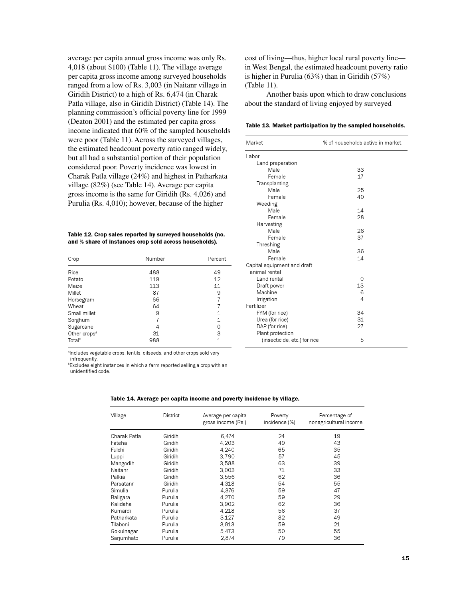average per capita annual gross income was only Rs. 4,018 (about \$100) (Table 11). The village average per capita gross income among surveyed households ranged from a low of Rs. 3,003 (in Naitanr village in Giridih District) to a high of Rs. 6,474 (in Charak Patla village, also in Giridih District) (Table 14). The planning commission's official poverty line for 1999 (Deaton 2001) and the estimated per capita gross income indicated that 60% of the sampled households were poor (Table 11). Across the surveyed villages, the estimated headcount poverty ratio ranged widely, but all had a substantial portion of their population considered poor. Poverty incidence was lowest in Charak Patla village (24%) and highest in Patharkata village (82%) (see Table 14). Average per capita gross income is the same for Giridih (Rs. 4,026) and Purulia (Rs. 4,010); however, because of the higher

Table 12. Crop sales reported by surveyed households (no. and % share of instances crop sold across households).

| Crop                     | Number | Percent |
|--------------------------|--------|---------|
| Rice                     | 488    | 49      |
| Potato                   | 119    | 12      |
| Maize                    | 113    | 11      |
| Millet                   | 87     | 9       |
| Horsegram                | 66     |         |
| Wheat                    | 64     | 7       |
| Small millet             | 9      | 1       |
| Sorghum                  |        | 1       |
| Sugarcane                | 4      | 0       |
| Other crops <sup>a</sup> | 31     | З       |
| Total <sup>b</sup>       | 988    | 1       |

<sup>a</sup>Includes vegetable crops, lentils, oilseeds, and other crops sold very infrequently.

**Excludes eight instances in which a farm reported selling a crop with an** unidentified code.

| Village      | <b>District</b> | Average per capita<br>gross income (Rs.) | Poverty<br>incidence (%) | Percentage of<br>nonagricultural income |
|--------------|-----------------|------------------------------------------|--------------------------|-----------------------------------------|
| Charak Patla | Giridih         | 6,474                                    | 24                       | 19                                      |
| Fateha       | Giridih         | 4.203                                    | 49                       | 43                                      |
| Fulchi       | Giridih         | 4.240                                    | 65                       | 35                                      |
| Luppi        | Giridih         | 3.790                                    | 57                       | 45                                      |
| Mangodih     | Giridih         | 3.588                                    | 63                       | 39                                      |
| Naitanr      | Giridih         | 3.003                                    | 71                       | 33                                      |
| Palkia       | Giridih         | 3,556                                    | 62                       | 36                                      |
| Parsatanr    | Giridih         | 4,318                                    | 54                       | 55                                      |
| Simulia      | Purulia         | 4.376                                    | 59                       | 47                                      |
| Baligara     | Purulia         | 4,270                                    | 59                       | 29                                      |
| Kalidaha     | Purulia         | 3.902                                    | 62                       | 36                                      |
| Kumardi      | Purulia         | 4.218                                    | 56                       | 37                                      |
| Patharkata   | Purulia         | 3,127                                    | 82                       | 49                                      |
| Tilaboni     | Purulia         | 3,813                                    | 59                       | 21                                      |
| Gokulnagar   | Purulia         | 5.473                                    | 50                       | 55                                      |
| Sarjumhato   | Purulia         | 2,874                                    | 79                       | 36                                      |

cost of living—thus, higher local rural poverty line in West Bengal, the estimated headcount poverty ratio is higher in Purulia (63%) than in Giridih (57%) (Table 11).

Another basis upon which to draw conclusions about the standard of living enjoyed by surveyed

Table 13. Market participation by the sampled households.

| Market                       | % of households active in market |
|------------------------------|----------------------------------|
| Labor                        |                                  |
| Land preparation             |                                  |
| Male                         | 33                               |
| Female                       | 17                               |
| Transplanting                |                                  |
| Male                         | 25                               |
| Female                       | 40                               |
| Weeding                      |                                  |
| Male                         | 14                               |
| Female                       | 28                               |
| Harvesting                   |                                  |
| Male                         | 26                               |
| Female                       | 37                               |
| Threshing                    |                                  |
| Male                         | 36                               |
| Female                       | 14                               |
| Capital equipment and draft  |                                  |
| animal rental                |                                  |
| Land rental                  | 0                                |
| Draft power                  | 13                               |
| Machine                      | 6                                |
| Irrigation                   | $\overline{4}$                   |
| Fertilizer                   |                                  |
| FYM (for rice)               | 34                               |
| Urea (for rice)              | 31                               |
| DAP (for rice)               | 27                               |
| Plant protection             |                                  |
| (insecticide, etc.) for rice | 5                                |
|                              |                                  |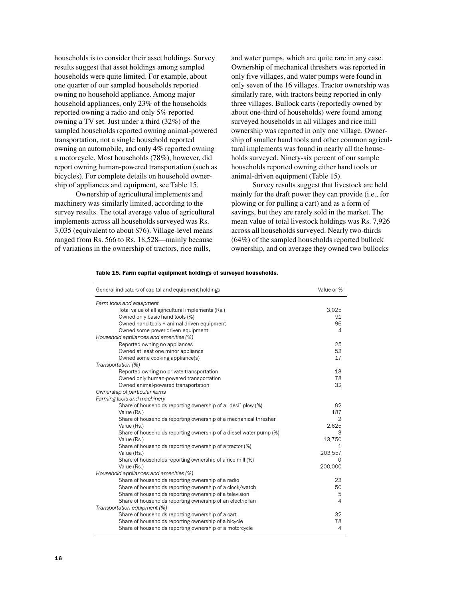households is to consider their asset holdings. Survey results suggest that asset holdings among sampled households were quite limited. For example, about one quarter of our sampled households reported owning no household appliance. Among major household appliances, only 23% of the households reported owning a radio and only 5% reported owning a TV set. Just under a third (32%) of the sampled households reported owning animal-powered transportation, not a single household reported owning an automobile, and only 4% reported owning a motorcycle. Most households (78%), however, did report owning human-powered transportation (such as bicycles). For complete details on household ownership of appliances and equipment, see Table 15.

Ownership of agricultural implements and machinery was similarly limited, according to the survey results. The total average value of agricultural implements across all households surveyed was Rs. 3,035 (equivalent to about \$76). Village-level means ranged from Rs. 566 to Rs. 18,528—mainly because of variations in the ownership of tractors, rice mills,

and water pumps, which are quite rare in any case. Ownership of mechanical threshers was reported in only five villages, and water pumps were found in only seven of the 16 villages. Tractor ownership was similarly rare, with tractors being reported in only three villages. Bullock carts (reportedly owned by about one-third of households) were found among surveyed households in all villages and rice mill ownership was reported in only one village. Ownership of smaller hand tools and other common agricultural implements was found in nearly all the households surveyed. Ninety-six percent of our sample households reported owning either hand tools or animal-driven equipment (Table 15).

Survey results suggest that livestock are held mainly for the draft power they can provide (i.e., for plowing or for pulling a cart) and as a form of savings, but they are rarely sold in the market. The mean value of total livestock holdings was Rs. 7,926 across all households surveyed. Nearly two-thirds (64%) of the sampled households reported bullock ownership, and on average they owned two bullocks

| General indicators of capital and equipment holdings               | Value or %     |
|--------------------------------------------------------------------|----------------|
| Farm tools and equipment                                           |                |
| Total value of all agricultural implements (Rs.)                   | 3,025          |
| Owned only basic hand tools (%)                                    | 91             |
| Owned hand tools + animal-driven equipment                         | 96             |
| Owned some power-driven equipment                                  | 4              |
| Household appliances and amenities (%)                             |                |
| Reported owning no appliances                                      | 25             |
| Owned at least one minor appliance                                 | 53             |
| Owned some cooking appliance(s)                                    | 17             |
| Transportation (%)                                                 |                |
| Reported owning no private transportation                          | 13             |
| Owned only human-powered transportation                            | 78             |
| Owned animal-powered transportation                                | 32             |
| Ownership of particular items                                      |                |
| Farming tools and machinery                                        |                |
| Share of households reporting ownership of a "desi" plow (%)       | 82             |
| Value (Rs.)                                                        | 187            |
| Share of households reporting ownership of a mechanical thresher   | $\mathfrak{D}$ |
| Value (Rs.)                                                        | 2.625          |
| Share of households reporting ownership of a diesel water pump (%) | з              |
| Value (Rs.)                                                        | 13,750         |
| Share of households reporting ownership of a tractor (%)           | 1              |
| Value (Rs.)                                                        | 203.557        |
| Share of households reporting ownership of a rice mill (%)         | O              |
| Value (Rs.)                                                        | 200,000        |
| Household appliances and amenities (%)                             |                |
| Share of households reporting ownership of a radio                 | 23             |
| Share of households reporting ownership of a clock/watch           | 50             |
| Share of households reporting ownership of a television            | 5              |
| Share of households reporting ownership of an electric fan         | $\overline{4}$ |
| Transportation equipment (%)                                       |                |
| Share of households reporting ownership of a cart                  | 32             |
| Share of households reporting ownership of a bicycle               | 78             |
| Share of households reporting ownership of a motorcycle            | 4              |

Table 15. Farm capital equipment holdings of surveyed households.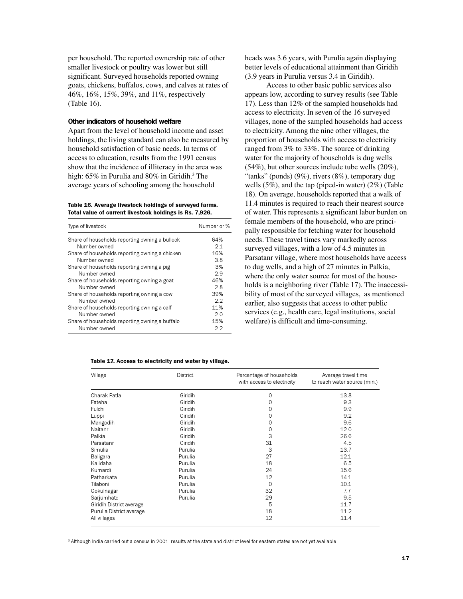per household. The reported ownership rate of other smaller livestock or poultry was lower but still significant. Surveyed households reported owning goats, chickens, buffalos, cows, and calves at rates of 46%, 16%, 15%, 39%, and 11%, respectively (Table 16).

#### Other indicators of household welfare

Apart from the level of household income and asset holdings, the living standard can also be measured by household satisfaction of basic needs. In terms of access to education, results from the 1991 census show that the incidence of illiteracy in the area was high: 65% in Purulia and 80% in Giridih.<sup>3</sup> The average years of schooling among the household

Table 16. Average livestock holdings of surveyed farms. Total value of current livestock holdings is Rs. 7,926.

| Type of livestock                              | Number or % |
|------------------------------------------------|-------------|
| Share of households reporting owning a bullock | 64%         |
| Number owned                                   | 21          |
| Share of households reporting owning a chicken | 16%         |
| Number owned                                   | 3.8         |
| Share of households reporting owning a pig     | 3%          |
| Number owned                                   | 29          |
| Share of households reporting owning a goat    | 46%         |
| Number owned                                   | 28          |
| Share of households reporting owning a cow     | 39%         |
| Number owned                                   | 2.2         |
| Share of households reporting owning a calf    | 11%         |
| Number owned                                   | 2.0         |
| Share of households reporting owning a buffalo | 15%         |
| Number owned                                   | クク          |

#### Table 17. Access to electricity and water by village.

heads was 3.6 years, with Purulia again displaying better levels of educational attainment than Giridih (3.9 years in Purulia versus 3.4 in Giridih).

Access to other basic public services also appears low, according to survey results (see Table 17). Less than 12% of the sampled households had access to electricity. In seven of the 16 surveyed villages, none of the sampled households had access to electricity. Among the nine other villages, the proportion of households with access to electricity ranged from 3% to 33%. The source of drinking water for the majority of households is dug wells (54%), but other sources include tube wells (20%), "tanks" (ponds) (9%), rivers (8%), temporary dug wells (5%), and the tap (piped-in water) (2%) (Table 18). On average, households reported that a walk of 11.4 minutes is required to reach their nearest source of water. This represents a significant labor burden on female members of the household, who are principally responsible for fetching water for household needs. These travel times vary markedly across surveyed villages, with a low of 4.5 minutes in Parsatanr village, where most households have access to dug wells, and a high of 27 minutes in Palkia, where the only water source for most of the households is a neighboring river (Table 17). The inaccessibility of most of the surveyed villages, as mentioned earlier, also suggests that access to other public services (e.g., health care, legal institutions, social welfare) is difficult and time-consuming.

| Village                  | District | Percentage of households<br>with access to electricity | Average travel time<br>to reach water source (min.) |
|--------------------------|----------|--------------------------------------------------------|-----------------------------------------------------|
| Charak Patla             | Giridih  | 0                                                      | 13.8                                                |
| Fateha                   | Giridih  | 0                                                      | 9.3                                                 |
| Fulchi                   | Giridih  | 0                                                      | 9.9                                                 |
| Luppi                    | Giridih  | 0                                                      | 9.2                                                 |
| Mangodih                 | Giridih  | 0                                                      | 9.6                                                 |
| Naitanr                  | Giridih  | 0                                                      | 12.0                                                |
| Palkia                   | Giridih  | 3                                                      | 26.6                                                |
| Parsatanr                | Giridih  | 31                                                     | 4.5                                                 |
| Simulia                  | Purulia  | 3                                                      | 13.7                                                |
| Baligara                 | Purulia  | 27                                                     | 12.1                                                |
| Kalidaha                 | Purulia  | 18                                                     | 6.5                                                 |
| Kumardi                  | Purulia  | 24                                                     | 15.6                                                |
| Patharkata               | Purulia  | 12                                                     | 14.1                                                |
| Tilaboni                 | Purulia  | $\circ$                                                | 10.1                                                |
| Gokulnagar               | Purulia  | 32                                                     | 7.7                                                 |
| Sarjumhato               | Purulia  | 29                                                     | 9.5                                                 |
| Giridih District average |          | 5                                                      | 11.7                                                |
| Purulia District average |          | 18                                                     | 11.2                                                |
| All villages             |          | 12                                                     | 11.4                                                |

 $^{\rm 3}$  Although India carried out a census in 2001, results at the state and district level for eastern states are not yet available.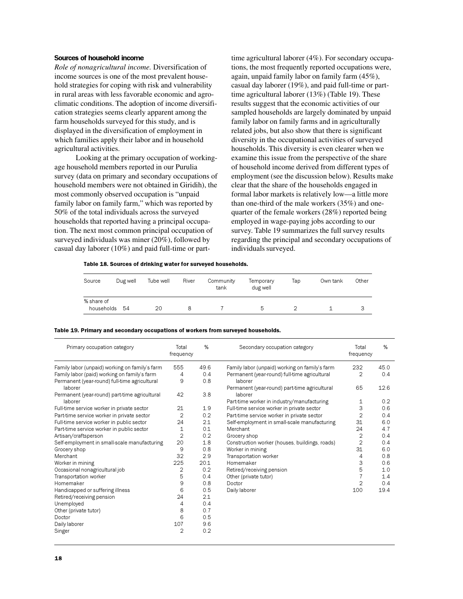## Sources of household income

*Role of nonagricultural income.* Diversification of income sources is one of the most prevalent household strategies for coping with risk and vulnerability in rural areas with less favorable economic and agroclimatic conditions. The adoption of income diversification strategies seems clearly apparent among the farm households surveyed for this study, and is displayed in the diversification of employment in which families apply their labor and in household agricultural activities.

Looking at the primary occupation of workingage household members reported in our Purulia survey (data on primary and secondary occupations of household members were not obtained in Giridih), the most commonly observed occupation is "unpaid family labor on family farm," which was reported by 50% of the total individuals across the surveyed households that reported having a principal occupation. The next most common principal occupation of surveyed individuals was miner (20%), followed by casual day laborer (10%) and paid full-time or parttime agricultural laborer (4%). For secondary occupations, the most frequently reported occupations were, again, unpaid family labor on family farm (45%), casual day laborer (19%), and paid full-time or parttime agricultural laborer (13%) (Table 19). These results suggest that the economic activities of our sampled households are largely dominated by unpaid family labor on family farms and in agriculturally related jobs, but also show that there is significant diversity in the occupational activities of surveyed households. This diversity is even clearer when we examine this issue from the perspective of the share of household income derived from different types of employment (see the discussion below). Results make clear that the share of the households engaged in formal labor markets is relatively low—a little more than one-third of the male workers (35%) and onequarter of the female workers (28%) reported being employed in wage-paying jobs according to our survey. Table 19 summarizes the full survey results regarding the principal and secondary occupations of individuals surveyed.

Table 18. Sources of drinking water for surveyed households.

| Source                   | Dug well | Tube well | River | Community<br>tank | Temporary<br>dug well | Tap | Own tank | Other |
|--------------------------|----------|-----------|-------|-------------------|-----------------------|-----|----------|-------|
| % share of<br>households | - 54     | 20        |       |                   | b                     |     |          | చ     |

| Table 19. Primary and secondary occupations of workers from surveyed households. |
|----------------------------------------------------------------------------------|
|----------------------------------------------------------------------------------|

| Primary occupation category                              | Total<br>frequency | %    | Secondary occupation category                            | Total<br>frequency | %    |
|----------------------------------------------------------|--------------------|------|----------------------------------------------------------|--------------------|------|
| Family labor (unpaid) working on family's farm           | 555                | 49.6 | Family labor (unpaid) working on family's farm           | 232                | 45.0 |
| Family labor (paid) working on family's farm             | 4                  | 0.4  | Permanent (year-round) full-time agricultural            | $\overline{2}$     | 0.4  |
| Permanent (year-round) full-time agricultural<br>laborer | 9                  | 0.8  | laborer<br>Permanent (year-round) part-time agricultural | 65                 | 12.6 |
| Permanent (year-round) part-time agricultural            | 42                 | 3.8  | laborer                                                  |                    |      |
| laborer                                                  |                    |      | Part-time worker in industry/manufacturing               | 1                  | 0.2  |
| Full-time service worker in private sector               | 21                 | 1.9  | Full-time service worker in private sector               | 3                  | 0.6  |
| Part-time service worker in private sector               | $\overline{2}$     | 0.2  | Part-time service worker in private sector               | $\overline{2}$     | 0.4  |
| Full-time service worker in public sector                | 24                 | 2.1  | Self-employment in small-scale manufacturing             | 31                 | 6.0  |
| Part-time service worker in public sector                | $\mathbf{1}$       | 0.1  | Merchant                                                 | 24                 | 4.7  |
| Artisan/craftsperson                                     | $\overline{2}$     | 0.2  | Grocery shop                                             | 2                  | 0.4  |
| Self-employment in small-scale manufacturing             | 20                 | 1.8  | Construction worker (houses, buildings, roads)           | $\overline{2}$     | 0.4  |
| Grocery shop                                             | 9                  | 0.8  | Worker in mining                                         | 31                 | 6.0  |
| Merchant                                                 | 32                 | 2.9  | Transportation worker                                    | 4                  | 0.8  |
| Worker in mining                                         | 225                | 20.1 | Homemaker                                                | 3                  | 0.6  |
| Occasional nonagricultural job                           | 2                  | 0.2  | Retired/receiving pension                                | 5                  | 1.0  |
| Transportation worker                                    | 5                  | 0.4  | Other (private tutor)                                    |                    | 1.4  |
| Homemaker                                                | 9                  | 0.8  | Doctor                                                   | $\overline{2}$     | 0.4  |
| Handicapped or suffering illness                         | 6                  | 0.5  | Daily laborer                                            | 100                | 19.4 |
| Retired/receiving pension                                | 24                 | 21   |                                                          |                    |      |
| Unemployed                                               | 4                  | 0.4  |                                                          |                    |      |
| Other (private tutor)                                    | 8                  | 0.7  |                                                          |                    |      |
| Doctor                                                   | 6                  | 0.5  |                                                          |                    |      |
| Daily laborer                                            | 107                | 9.6  |                                                          |                    |      |
| Singer                                                   | $\overline{2}$     | 0.2  |                                                          |                    |      |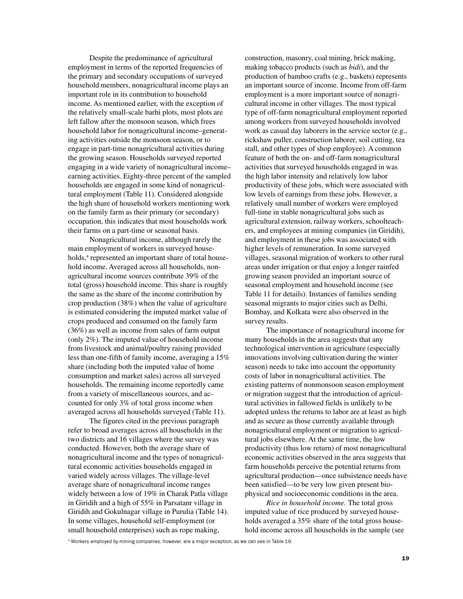Despite the predominance of agricultural employment in terms of the reported frequencies of the primary and secondary occupations of surveyed household members, nonagricultural income plays an important role in its contribution to household income. As mentioned earlier, with the exception of the relatively small-scale barhi plots, most plots are left fallow after the monsoon season, which frees household labor for nonagricultural income–generating activities outside the monsoon season, or to engage in part-time nonagricultural activities during the growing season. Households surveyed reported engaging in a wide variety of nonagricultural income– earning activities. Eighty-three percent of the sampled households are engaged in some kind of nonagricultural employment (Table 11). Considered alongside the high share of household workers mentioning work on the family farm as their primary (or secondary) occupation, this indicates that most households work their farms on a part-time or seasonal basis.

Nonagricultural income, although rarely the main employment of workers in surveyed households,<sup>4</sup> represented an important share of total household income. Averaged across all households, nonagricultural income sources contribute 39% of the total (gross) household income. This share is roughly the same as the share of the income contribution by crop production (38%) when the value of agriculture is estimated considering the imputed market value of crops produced and consumed on the family farm (36%) as well as income from sales of farm output (only 2%). The imputed value of household income from livestock and animal/poultry raising provided less than one-fifth of family income, averaging a 15% share (including both the imputed value of home consumption and market sales) across all surveyed households. The remaining income reportedly came from a variety of miscellaneous sources, and accounted for only 3% of total gross income when averaged across all households surveyed (Table 11).

The figures cited in the previous paragraph refer to broad averages across all households in the two districts and 16 villages where the survey was conducted. However, both the average share of nonagricultural income and the types of nonagricultural economic activities households engaged in varied widely across villages. The village-level average share of nonagricultural income ranges widely between a low of 19% in Charak Patla village in Giridih and a high of 55% in Parsatanr village in Giridih and Gokulnagar village in Purulia (Table 14). In some villages, household self-employment (or small household enterprises) such as rope making,

construction, masonry, coal mining, brick making, making tobacco products (such as *bidi*), and the production of bamboo crafts (e.g., baskets) represents an important source of income. Income from off-farm employment is a more important source of nonagricultural income in other villages. The most typical type of off-farm nonagricultural employment reported among workers from surveyed households involved work as casual day laborers in the service sector (e.g., rickshaw puller, construction laborer, soil cutting, tea stall, and other types of shop employee). A common feature of both the on- and off-farm nonagricultural activities that surveyed households engaged in was the high labor intensity and relatively low labor productivity of these jobs, which were associated with low levels of earnings from these jobs. However, a relatively small number of workers were employed full-time in stable nonagricultural jobs such as agricultural extension, railway workers, schoolteachers, and employees at mining companies (in Giridih), and employment in these jobs was associated with higher levels of remuneration. In some surveyed villages, seasonal migration of workers to other rural areas under irrigation or that enjoy a longer rainfed growing season provided an important source of seasonal employment and household income (see Table 11 for details). Instances of families sending seasonal migrants to major cities such as Delhi, Bombay, and Kolkata were also observed in the survey results.

The importance of nonagricultural income for many households in the area suggests that any technological intervention in agriculture (especially innovations involving cultivation during the winter season) needs to take into account the opportunity costs of labor in nonagricultural activities. The existing patterns of nonmonsoon season employment or migration suggest that the introduction of agricultural activities in fallowed fields is unlikely to be adopted unless the returns to labor are at least as high and as secure as those currently available through nonagricultural employment or migration to agricultural jobs elsewhere. At the same time, the low productivity (thus low return) of most nonagricultural economic activities observed in the area suggests that farm households perceive the potential returns from agricultural production—once subsistence needs have been satisfied—to be very low given present biophysical and socioeconomic conditions in the area.

*Rice in household income.* The total gross imputed value of rice produced by surveyed households averaged a 35% share of the total gross household income across all households in the sample (see

4 Workers employed by mining companies, however, are a major exception, as we can see in Table 19.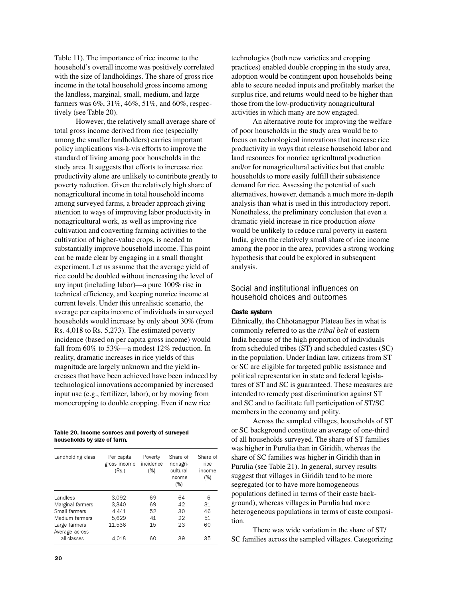Table 11). The importance of rice income to the household's overall income was positively correlated with the size of landholdings. The share of gross rice income in the total household gross income among the landless, marginal, small, medium, and large farmers was 6%, 31%, 46%, 51%, and 60%, respectively (see Table 20).

However, the relatively small average share of total gross income derived from rice (especially among the smaller landholders) carries important policy implications vis-à-vis efforts to improve the standard of living among poor households in the study area. It suggests that efforts to increase rice productivity alone are unlikely to contribute greatly to poverty reduction. Given the relatively high share of nonagricultural income in total household income among surveyed farms, a broader approach giving attention to ways of improving labor productivity in nonagricultural work, as well as improving rice cultivation and converting farming activities to the cultivation of higher-value crops, is needed to substantially improve household income. This point can be made clear by engaging in a small thought experiment. Let us assume that the average yield of rice could be doubled without increasing the level of any input (including labor)—a pure 100% rise in technical efficiency, and keeping nonrice income at current levels. Under this unrealistic scenario, the average per capita income of individuals in surveyed households would increase by only about 30% (from Rs. 4,018 to Rs. 5,273). The estimated poverty incidence (based on per capita gross income) would fall from 60% to 53%—a modest 12% reduction. In reality, dramatic increases in rice yields of this magnitude are largely unknown and the yield increases that have been achieved have been induced by technological innovations accompanied by increased input use (e.g., fertilizer, labor), or by moving from monocropping to double cropping. Even if new rice

Table 20. Income sources and poverty of surveyed households by size of farm.

| Landholding class               | Per capita<br>gross income<br>(Rs.) | Poverty<br>incidence<br>(%) | Share of<br>nonagri-<br>cultural<br>income<br>(% ) | Share of<br>rice<br>income<br>(%) |
|---------------------------------|-------------------------------------|-----------------------------|----------------------------------------------------|-----------------------------------|
| Landless                        | 3.092                               | 69                          | 64                                                 | 6                                 |
| Marginal farmers                | 3.340                               | 69                          | 42                                                 | 31                                |
| Small farmers                   | 4.441                               | 52                          | 30                                                 | 46                                |
| Medium farmers                  | 5.629                               | 41                          | 22                                                 | 51                                |
| Large farmers<br>Average across | 11.536                              | 15                          | 23                                                 | 60                                |
| all classes                     | 4.018                               | 60                          | 39                                                 | 35                                |

technologies (both new varieties and cropping practices) enabled double cropping in the study area, adoption would be contingent upon households being able to secure needed inputs and profitably market the surplus rice, and returns would need to be higher than those from the low-productivity nonagricultural activities in which many are now engaged.

An alternative route for improving the welfare of poor households in the study area would be to focus on technological innovations that increase rice productivity in ways that release household labor and land resources for nonrice agricultural production and/or for nonagricultural activities but that enable households to more easily fulfill their subsistence demand for rice. Assessing the potential of such alternatives, however, demands a much more in-depth analysis than what is used in this introductory report. Nonetheless, the preliminary conclusion that even a dramatic yield increase in rice production *alone* would be unlikely to reduce rural poverty in eastern India, given the relatively small share of rice income among the poor in the area, provides a strong working hypothesis that could be explored in subsequent analysis.

## Social and institutional influences on household choices and outcomes

### Caste system

Ethnically, the Chhotanagpur Plateau lies in what is commonly referred to as the *tribal belt* of eastern India because of the high proportion of individuals from scheduled tribes (ST) and scheduled castes (SC) in the population. Under Indian law, citizens from ST or SC are eligible for targeted public assistance and political representation in state and federal legislatures of ST and SC is guaranteed. These measures are intended to remedy past discrimination against ST and SC and to facilitate full participation of ST/SC members in the economy and polity.

Across the sampled villages, households of ST or SC background constitute an average of one-third of all households surveyed. The share of ST families was higher in Purulia than in Giridih, whereas the share of SC families was higher in Giridih than in Purulia (see Table 21). In general, survey results suggest that villages in Giridih tend to be more segregated (or to have more homogeneous populations defined in terms of their caste background), whereas villages in Purulia had more heterogeneous populations in terms of caste composition.

There was wide variation in the share of ST/ SC families across the sampled villages. Categorizing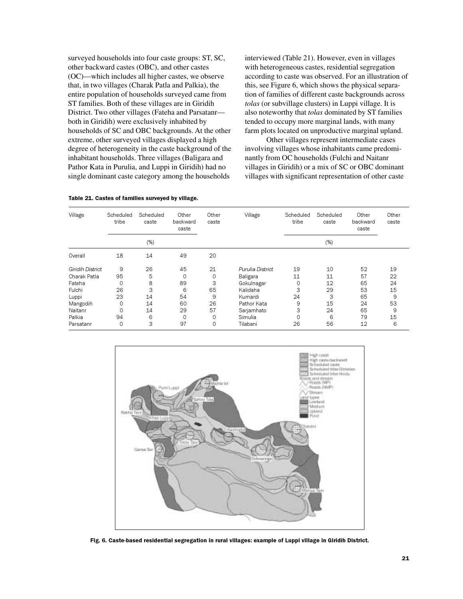surveyed households into four caste groups: ST, SC, other backward castes (OBC), and other castes (OC)—which includes all higher castes, we observe that, in two villages (Charak Patla and Palkia), the entire population of households surveyed came from ST families. Both of these villages are in Giridih District. Two other villages (Fateha and Parsatanr both in Giridih) were exclusively inhabited by households of SC and OBC backgrounds. At the other extreme, other surveyed villages displayed a high degree of heterogeneity in the caste background of the inhabitant households. Three villages (Baligara and Pathor Kata in Purulia, and Luppi in Giridih) had no single dominant caste category among the households

interviewed (Table 21). However, even in villages with heterogeneous castes, residential segregation according to caste was observed. For an illustration of this, see Figure 6, which shows the physical separation of families of different caste backgrounds across *tolas* (or subvillage clusters) in Luppi village. It is also noteworthy that *tolas* dominated by ST families tended to occupy more marginal lands, with many farm plots located on unproductive marginal upland.

Other villages represent intermediate cases involving villages whose inhabitants came predominantly from OC households (Fulchi and Naitanr villages in Giridih) or a mix of SC or OBC dominant villages with significant representation of other caste

| Village                 | Scheduled<br>tribe | Scheduled<br>caste | Other<br>backward<br>caste | Other<br>caste | Village          | Scheduled<br>tribe | Scheduled<br>caste | Other<br>backward<br>caste | Other<br>caste |
|-------------------------|--------------------|--------------------|----------------------------|----------------|------------------|--------------------|--------------------|----------------------------|----------------|
|                         |                    | $(\%)$             |                            |                |                  |                    | (%)                |                            |                |
| Overall                 | 18                 | 14                 | 49                         | 20             |                  |                    |                    |                            |                |
| <b>Giridih District</b> | 9                  | 26                 | 45                         | 21             | Purulia District | 19                 | 10                 | 52                         | 19             |
| Charak Patla            | 95                 | 5                  | 0                          | 0              | Baligara         | 11                 | 11                 | 57                         | 22             |
| Fateha                  | 0                  | 8                  | 89                         | 3              | Gokulnagar       | 0                  | 12                 | 65                         | 24             |
| Fulchi                  | 26                 | 3                  | 6                          | 65             | Kalidaha         | 3                  | 29                 | 53                         | 15             |
| Luppi                   | 23                 | 14                 | 54                         | 9              | Kumardi          | 24                 | З                  | 65                         | 9              |
| Mangodih                | 0                  | 14                 | 60                         | 26             | Pathor Kata      | 9                  | 15                 | 24                         | 53             |
| Naitanr                 | $\mathbf 0$        | 14                 | 29                         | 57             | Sarjamhato       | 3                  | 24                 | 65                         | 9              |
| Palkia                  | 94                 | 6                  | $\Omega$                   | 0              | Simulia          | 0                  | 6                  | 79                         | 15             |
| Parsatanr               | 0                  | 3                  | 97                         | 0              | Tilabani         | 26                 | 56                 | 12                         | 6              |



Fig. 6. Caste-based residential segregation in rural villages: example of Luppi village in Giridih District.

#### Table 21. Castes of families surveyed by village.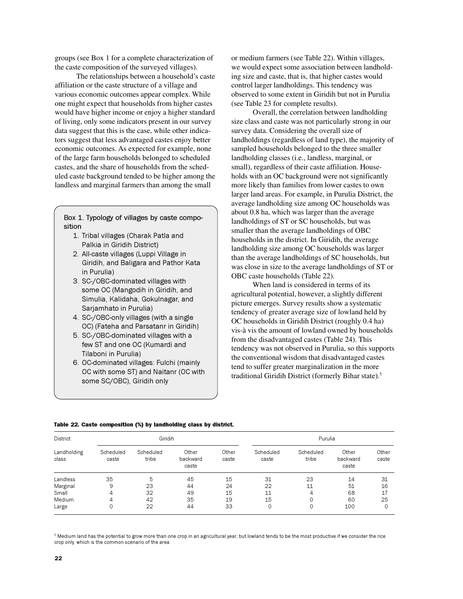groups (see Box 1 for a complete characterization of the caste composition of the surveyed villages).

The relationships between a household's caste affiliation or the caste structure of a village and various economic outcomes appear complex. While one might expect that households from higher castes would have higher income or enjoy a higher standard of living, only some indicators present in our survey data suggest that this is the case, while other indicators suggest that less advantaged castes enjoy better economic outcomes. As expected for example, none of the large farm households belonged to scheduled castes, and the share of households from the scheduled caste background tended to be higher among the landless and marginal farmers than among the small

### Box 1. Typology of villages by caste composition

- 1. Tribal villages (Charak Patla and Palkia in Giridih District)
- 2. All-caste villages (Luppi Village in Giridih, and Baligara and Pathor Kata in Purulia)
- 3. SC-/OBC-dominated villages with some OC (Mangodih in Giridih, and Simulia, Kalidaha, Gokulnagar, and Sarjamhato in Purulia)
- 4. SC-/OBC-only villages (with a single OC) (Fateha and Parsatanr in Giridih)
- 5. SC-/OBC-dominated villages with a few ST and one OC (Kumardi and Tilaboni in Purulia)
- 6. OC-dominated villages: Fulchi (mainly OC with some ST) and Naitanr (OC with some SC/OBC), Giridih only

or medium farmers (see Table 22). Within villages, we would expect some association between landholding size and caste, that is, that higher castes would control larger landholdings. This tendency was observed to some extent in Giridih but not in Purulia (see Table 23 for complete results).

Overall, the correlation between landholding size class and caste was not particularly strong in our survey data. Considering the overall size of landholdings (regardless of land type), the majority of sampled households belonged to the three smaller landholding classes (i.e., landless, marginal, or small), regardless of their caste affiliation. Households with an OC background were not significantly more likely than families from lower castes to own larger land areas. For example, in Purulia District, the average landholding size among OC households was about 0.8 ha, which was larger than the average landholdings of ST or SC households, but was smaller than the average landholdings of OBC households in the district. In Giridih, the average landholding size among OC households was larger than the average landholdings of SC households, but was close in size to the average landholdings of ST or OBC caste households (Table 22).

When land is considered in terms of its agricultural potential, however, a slightly different picture emerges. Survey results show a systematic tendency of greater average size of lowland held by OC households in Giridih District (roughly 0.4 ha) vis-à vis the amount of lowland owned by households from the disadvantaged castes (Table 24). This tendency was not observed in Purulia, so this supports the conventional wisdom that disadvantaged castes tend to suffer greater marginalization in the more traditional Giridih District (formerly Bihar state).<sup>5</sup>

|                                                                   |                    | Giridih            |                            |                |                    | Purulia            |                            |                |  |  |  |  |  |  |
|-------------------------------------------------------------------|--------------------|--------------------|----------------------------|----------------|--------------------|--------------------|----------------------------|----------------|--|--|--|--|--|--|
| District<br>Landholding<br>class<br>Landless<br>Marginal<br>Small | Scheduled<br>caste | Scheduled<br>tribe | Other<br>backward<br>caste | Other<br>caste | Scheduled<br>caste | Scheduled<br>tribe | Other<br>backward<br>caste | Other<br>caste |  |  |  |  |  |  |
|                                                                   | 35                 | 5                  | 45                         | 15             | 31                 | 23                 | 14                         | 31             |  |  |  |  |  |  |
|                                                                   | 9                  | 23                 | 44                         | 24             | 22                 | 11                 | 51                         | 16             |  |  |  |  |  |  |
|                                                                   | 4                  | 32                 | 49                         | 15             | 11                 | 4                  | 68                         | 17             |  |  |  |  |  |  |
| Medium                                                            | 4                  | 42                 | 35                         | 19             | 15                 | 0                  | 60                         | 25             |  |  |  |  |  |  |
| Large                                                             | 0                  | 22                 | 44                         | 33             | 0                  | 0                  | 100                        | 0              |  |  |  |  |  |  |

#### Table 22. Caste composition (%) by landholding class by district.

 $^{\rm 5}$  Medium land has the potential to grow more than one crop in an agricultural year, but lowland tends to be the most productive if we consider the rice crop only, which is the common scenario of the area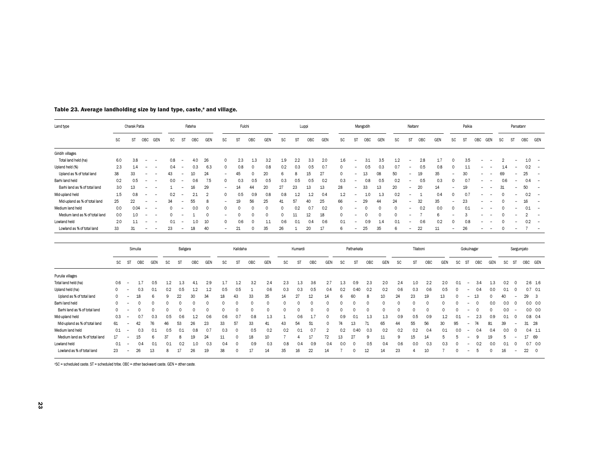| Land type                      |           |                          | Charak Patla     |                                                      |           |                          | Fateha   |     |                          | Fulchi   |          |          |           |           | Luppi    |          |           |                          | Mangodih |          |            | Naitanr                  |          |          |           |           | Palkia                   |          |          |           | Parsatanr  |            |                          |
|--------------------------------|-----------|--------------------------|------------------|------------------------------------------------------|-----------|--------------------------|----------|-----|--------------------------|----------|----------|----------|-----------|-----------|----------|----------|-----------|--------------------------|----------|----------|------------|--------------------------|----------|----------|-----------|-----------|--------------------------|----------|----------|-----------|------------|------------|--------------------------|
|                                | <b>SC</b> |                          | <b>ST</b><br>OBC | GEN                                                  | <b>SC</b> | ST                       | OBC      | GEN | <b>SC</b>                | ST       | OBC      | GEN      | <b>SC</b> | ST        | OBC      | GEN      | <b>SC</b> | ST                       | OBC      | GEN      | <b>SC</b>  | ST                       | OBC      | GEN      | <b>SC</b> | ST        |                          | OBC      | GEN      | <b>SC</b> | ST         | <b>OBC</b> | GEN                      |
| Giridih villages               |           |                          |                  |                                                      |           |                          |          |     |                          |          |          |          |           |           |          |          |           |                          |          |          |            |                          |          |          |           |           |                          |          |          |           |            |            |                          |
| Total land held (ha)           | 6.0       |                          | 3.8              |                                                      | 0.8       |                          | 4.0      | 26  | 0                        | 2.3      | 1.3      | 3.2      | 1.9       | 2.2       | 3.3      | 2.0      | 1.6       |                          | 3.1      | 3.5      | 1.2        |                          | 2.8      | 1.7      | $\Omega$  |           | 3.5                      |          |          |           |            | 1.0        |                          |
| Upland held (%)                | 2.3       |                          | 14               | -                                                    | 0.4       | $\overline{\phantom{a}}$ | 0.3      | 6.3 | 0                        | 0.8      | O        | 0.8      | 0.2       | 0.3       | 0.5      | 0.7      |           | ۰                        | 0.5      | 0.3      | 0.7        |                          | 0.5      | 0.8      | $\Omega$  |           | 1.1                      |          |          | 1.4       |            | 0.2        | $\overline{\phantom{a}}$ |
| Upland as % of total land      | 38        | 33                       |                  | $\overline{\phantom{a}}$                             | 43        | $\overline{\phantom{a}}$ | 10       | 24  | $\overline{\phantom{a}}$ | 45       | $\Omega$ | 20       | 6         | 8         | 15       | 27       | $\Omega$  | $\overline{\phantom{0}}$ | 13       | 08       | 50         |                          | 19       | 35       |           |           | 30                       |          |          | 69        |            | 25         | $\overline{\phantom{a}}$ |
| Barhi land held                | 0.2       |                          | 0.5              |                                                      | 0.0       | $\overline{\phantom{a}}$ | 0.6      | 7.5 | $\circ$                  | 0.3      | 0.5      | 0.5      | 0.3       | 0.5       | 0.5      | 0.2      | 0.3       | $\overline{\phantom{a}}$ | 0.8      | 0.5      | 0.2        |                          | 0.5      | 0.3      | $\Omega$  |           | 0.7                      |          |          | 0.6       |            | 0.4        | $\overline{\phantom{0}}$ |
| Barhi land as % of total land  | 3.0       | 13                       |                  |                                                      |           | $\overline{\phantom{0}}$ | 16       | 29  | $\overline{\phantom{a}}$ | 14       | 44       | 20       | 27        | 23        | 13       | 13       | 28        | $\overline{\phantom{a}}$ | 33       | 13       | 20         | $\overline{\phantom{a}}$ | 20       | 14       |           |           | 19                       |          |          | 31        |            | 50         |                          |
| Mid-upland held                | 1.5       |                          | 0.8              | -<br>$\overline{\phantom{0}}$                        | 0.2       | $\overline{\phantom{a}}$ | 2.1      | 2   | 0                        | 0.5      | 0.9      | 0.8      | 0.8       | 1.2       | 1.2      | 0.4      | 1.2       | ۰                        | 1.0      | 1.3      | 0.2        | $\overline{\phantom{a}}$ |          | 0.4      | $\Omega$  |           | 0.7                      |          |          |           |            | 0.2        | $\overline{\phantom{a}}$ |
| Mid-upland as % of total land  | 25        | 22                       |                  | $\overline{\phantom{a}}$                             | 34        | $\overline{\phantom{a}}$ | 55       | 8   | $\overline{\phantom{a}}$ | 19       | 56       | 25       | 41        | 57        | 40       | 25       | 66        | $\overline{\phantom{a}}$ | 29       | 44       | 24         |                          | 32       | 35       |           |           | 23                       |          |          |           |            | 16         | $\overline{\phantom{a}}$ |
| Medium land held               | 0.0       |                          | 0.04<br><b>.</b> | $\overline{\phantom{a}}$                             | 0         | $\overline{\phantom{a}}$ | 0.0      | 0   | 0                        | $\Omega$ | $\Omega$ | 0        | $\Omega$  | 0.2       | 0.7      | 0.2      | $\Omega$  | ۰                        | $\Omega$ | $\Omega$ | $\Omega$   | $\overline{\phantom{a}}$ | 0.2      | 0.0      | $\Omega$  |           | 0.1                      |          |          |           |            | 0.1        | $\overline{\phantom{a}}$ |
| Medium land as % of total land | 0.0       |                          | 10               |                                                      |           |                          |          | 0   | $\overline{\phantom{a}}$ | $\Omega$ | O        | $\Omega$ | $\Omega$  | 11        | 12       | 18       | $\Omega$  |                          | $\Omega$ | $\Omega$ | $\Omega$   |                          |          | 6        |           |           |                          |          |          |           |            | 2          |                          |
| Lowland held                   | 2.0       |                          | 1.1              | $\overline{\phantom{0}}$<br>$\overline{\phantom{a}}$ | 0.1       | $\overline{\phantom{0}}$ | 1.0      | 10  | 0                        | 0.6      | O        | 11       | 0.6       | 0.1       | 0.4      | 0.6      | 0.1       |                          | 0.9      | 1.4      | 0.1        |                          | 0.6      | 0.2      | $\Omega$  |           | 0.8                      |          |          |           |            | 0.2        |                          |
| Lowland as % of total land     | 33        | 31                       |                  |                                                      | 23        | $\overline{\phantom{a}}$ | 18       | 40  | $\overline{\phantom{a}}$ | 21       | O        | 35       | 26        |           | 20       | 17       | 6         | $\overline{\phantom{a}}$ | 25       | 35       | $\epsilon$ |                          | 22       | 11       |           |           | 26                       |          |          |           |            |            |                          |
|                                |           |                          |                  |                                                      |           |                          |          |     |                          |          |          |          |           |           |          |          |           |                          |          |          |            |                          |          |          |           |           |                          |          |          |           |            |            |                          |
|                                |           |                          | Simulia          |                                                      |           |                          | Baligara |     |                          | Kalidaha |          |          |           | Kumardi   |          |          |           | Patharkata               |          |          |            |                          | Tilaboni |          |           |           | Gokulnagar               |          |          |           | Sargumjato |            |                          |
|                                | <b>SC</b> | ST                       | OBC              | GEN                                                  | <b>SC</b> | ST                       | OBC      | GEN | <b>SC</b>                | ST       | OBC      | GEN      | <b>SC</b> | <b>ST</b> | OBC      | GEN      | <b>SC</b> | ST                       | OBC      | GEN      | <b>SC</b>  | ST                       | OBC      |          | GEN       | <b>SC</b> | ST                       | OBC      | GEN      | SC        | ST         | OBC GEN    |                          |
| Purulia villages               |           |                          |                  |                                                      |           |                          |          |     |                          |          |          |          |           |           |          |          |           |                          |          |          |            |                          |          |          |           |           |                          |          |          |           |            |            |                          |
| Total land held (ha)           | 0.6       |                          | -1.7             | 0.5                                                  | 1.2       | 1.3                      | 4.1      | 2.9 | 1.7                      | 1.2      | 3.2      | 2.4      | 2.3       | 1.3       | 3.6      | 2.7      | 1.3       | 0.9                      | 2.3      | 2.0      | 2.4        | 1.0                      | 2.2      |          | 2.0       | 0.1       | $\overline{\phantom{a}}$ | 3.4      | 1.3      | 0.2       | $\Omega$   |            | $2.6$ 1.6                |
| Upland held (ha)               | $\Omega$  |                          | 0.3              | 0.1                                                  | 0.2       | 0.5                      | 1.2      | 1.2 | 0.5                      | 0.5      |          | 0.6      | 0.3       | 0.3       | 0.5      | 0.4      | 0.2       | 0.40                     | 0.2      | 0.2      | 0.6        | 0.3                      | 0.6      |          | 0.5       | Ω         |                          | 0.4      | 0.0      | 0.1       | n          |            | $0.7$ 0.1                |
| Upland as % of total land      | $\Omega$  |                          | 18               | 6                                                    | 9         | 22                       | 30       | 34  | 18                       | 43       | 33       | 35       | 14        | 27        | 12       | 14       | 6         | 60                       |          | 10       | 24         | 23                       | 19       | 13       |           |           |                          | 13       | $\Omega$ | 40        |            | 29         | -3                       |
| Barhi land held                | $\Omega$  | ۰                        | $\Omega$         | 0                                                    | ი         |                          | 0        | 0   | $\Omega$                 | 0        | 0        | $\Omega$ | 0         | $\Omega$  | $\Omega$ | 0        | $\Omega$  | $\Omega$                 |          | 0        | $\Omega$   | $\Omega$                 | 0        | $\Omega$ |           | Ω         |                          | $\Omega$ | 0.0      | 0.0       | $\Omega$   |            | $0.0 \quad 0.0$          |
| Barhi land as % of total land  | $\Omega$  |                          | $\Omega$         | C                                                    | ი         |                          | $\Omega$ | O   | 0                        | 0        | $\Omega$ | $\circ$  | $\Omega$  | $\Omega$  | $\Omega$ | O        | $\Omega$  | $\Omega$                 | $\Omega$ | $\Omega$ | $\circ$    | $\Omega$                 | O        |          |           | O         |                          | $\Omega$ | $\Omega$ | 0.0       |            |            | $0.0\quad 0.0$           |
| Mid-upland held                | 0.3       | $\overline{\phantom{a}}$ | 0.7              | 0.3                                                  | 0.5       | 0.6                      | 1.2      | 0.6 | 0.6                      | 0.7      | 0.8      | 1.3      | 1         | 0.6       | 1.7      | $\Omega$ | 0.9       | 0.1                      | 1.3      | 1.3      | 0.9        | 0.5                      | 0.9      |          | 1.2       | 0.1       | $\overline{\phantom{0}}$ | 2.3      | 0.9      | 0.1       | n          |            | $0.8$ 0.4                |
| Mid-upland as % of total land  | 61        |                          | 42               | 76                                                   | 46        | 53                       | 26       | 23  | 33                       | 57       | 33       | 41       | 43        | 54        | 51       |          | 74        | 13                       | 71       | 65       | 44         | 55                       | 56       | 30       |           | 95        |                          | 74       | 81       | 39        |            | 31         | 28                       |
| Medium land held               | 0.1       |                          | 0.3              | 0.1                                                  | 0.5       | 0.1                      | 0.8      | 0.7 | 0.3                      | $\Omega$ | 0.5      | 0.2      | 0.2       | 0.1       | 0.7      | 2        | 0.2       | 0.40                     | 0.3      | 0.2      | 0.2        | 0.2                      | 0.4      |          | 0.1       | 0.0       | $\sim$                   | 0.4      | 0.4      | 0.0       | $\Omega$   |            | $0.4$ 1.1                |

Medium land as % of total land 17 – 15 6 37 8 19 24 11 0 18 10 7 4 17 72 13 27 9 11 9 15 14 5 5 – 9 19 5 – 17 69<br>Lowland held 0.1 – 0.4 0.1 0.1 0.2 1.0 0.3 0.4 0 0.9 0.3 0.8 0.4 0.9 0.4 0.0 0 0.5 0.4 0.6 0.0 0.3 0.3 0 – 0. Medium land as % of total land <sup>17</sup> – <sup>15</sup> <sup>6</sup> <sup>37</sup> <sup>8</sup> <sup>19</sup> <sup>24</sup> <sup>11</sup> <sup>0</sup> <sup>18</sup> <sup>10</sup> <sup>7</sup> <sup>4</sup> <sup>17</sup> <sup>72</sup> <sup>13</sup> <sup>27</sup> <sup>9</sup> <sup>11</sup> <sup>9</sup> <sup>15</sup> <sup>14</sup> <sup>5</sup> <sup>5</sup> – <sup>9</sup> <sup>19</sup> <sup>5</sup> – <sup>17</sup> <sup>69</sup> Lowland held 0.1 – 0.4 0.1 0.1 0.2 1.0 0.3 0.4 <sup>0</sup> 0.9 0.3 0.8 0.4 0.9 0.4 0.0 <sup>0</sup> 0.5 0.4 0.6 0.0 0.3 0.3 <sup>0</sup> – 0.2 0.0 0.1 <sup>0</sup> 0.7 0.0 Lowland as % of total land <sup>23</sup> – <sup>26</sup> <sup>13</sup> <sup>8</sup> <sup>17</sup> <sup>26</sup> <sup>19</sup> <sup>38</sup> <sup>0</sup> <sup>17</sup> <sup>14</sup> <sup>35</sup> <sup>16</sup> <sup>22</sup> <sup>14</sup> <sup>7</sup> <sup>0</sup> <sup>12</sup> <sup>14</sup> <sup>23</sup> <sup>4</sup> <sup>10</sup> <sup>7</sup> <sup>0</sup> – <sup>5</sup> <sup>0</sup> <sup>16</sup> – <sup>22</sup> <sup>0</sup>

#### Table 23. Average landholding size by land type, caste,<sup>a</sup> and village.

aSC = scheduled caste, ST = scheduled tribe, OBC = other backward caste, GEN = other caste.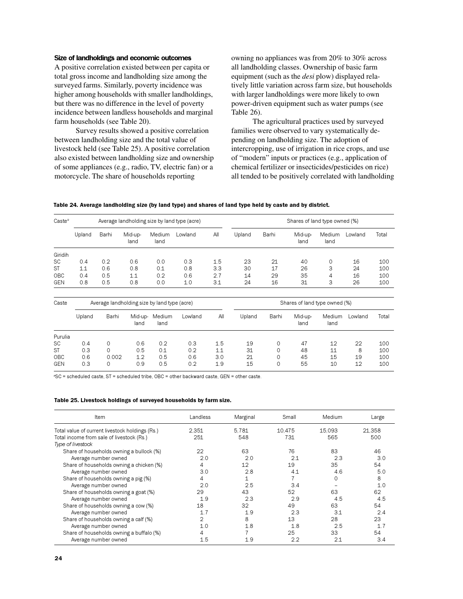## Size of landholdings and economic outcomes

A positive correlation existed between per capita or total gross income and landholding size among the surveyed farms. Similarly, poverty incidence was higher among households with smaller landholdings, but there was no difference in the level of poverty incidence between landless households and marginal farm households (see Table 20).

Survey results showed a positive correlation between landholding size and the total value of livestock held (see Table 25). A positive correlation also existed between landholding size and ownership of some appliances (e.g., radio, TV, electric fan) or a motorcycle. The share of households reporting

owning no appliances was from 20% to 30% across all landholding classes. Ownership of basic farm equipment (such as the *desi* plow) displayed relatively little variation across farm size, but households with larger landholdings were more likely to own power-driven equipment such as water pumps (see Table 26).

The agricultural practices used by surveyed families were observed to vary systematically depending on landholding size. The adoption of intercropping, use of irrigation in rice crops, and use of "modern" inputs or practices (e.g., application of chemical fertilizer or insecticides/pesticides on rice) all tended to be positively correlated with landholding

| Table 24. Average landholding size (by land type) and shares of land type held by caste and by district. |  |  |  |  |
|----------------------------------------------------------------------------------------------------------|--|--|--|--|
|----------------------------------------------------------------------------------------------------------|--|--|--|--|

| $\text{Caste}^a$ |        |       |                 |                | Average landholding size by land type (acre) |     |        |       |                 |                | Shares of land type owned (%) |       |  |  |  |  |  |  |  |  |
|------------------|--------|-------|-----------------|----------------|----------------------------------------------|-----|--------|-------|-----------------|----------------|-------------------------------|-------|--|--|--|--|--|--|--|--|
|                  | Upland | Barhi | Mid-up-<br>land | Medium<br>land | Lowland                                      | All | Upland | Barhi | Mid-up-<br>land | Medium<br>land | Lowland                       | Total |  |  |  |  |  |  |  |  |
| Giridih          |        |       |                 |                |                                              |     |        |       |                 |                |                               |       |  |  |  |  |  |  |  |  |
| <b>SC</b>        | 0.4    | 0.2   | 0.6             | 0.0            | 0.3                                          | 1.5 | 23     | 21    | 40              |                | 16                            | 100   |  |  |  |  |  |  |  |  |
| <b>ST</b>        | 1.1    | 0.6   | 0.8             | 0.1            | 0.8                                          | 3.3 | 30     | 17    | 26              | 3              | 24                            | 100   |  |  |  |  |  |  |  |  |
| OBC              | 0.4    | 0.5   | 11              | 0.2            | 0.6                                          | 2.7 | 14     | 29    | 35              | 4              | 16                            | 100   |  |  |  |  |  |  |  |  |
| <b>GEN</b>       | 0.8    | 0.5   | 0.8             | 0.0            | 1.0                                          | 3.1 | 24     | 16    | 31              | 3              | 26                            | 100   |  |  |  |  |  |  |  |  |

| Caste      | Average landholding size by land type (acre) |       |                 |                |         | Shares of land type owned (%) |        |       |                 |                |         |       |
|------------|----------------------------------------------|-------|-----------------|----------------|---------|-------------------------------|--------|-------|-----------------|----------------|---------|-------|
|            | Upland                                       | Barhi | Mid-up-<br>land | Medium<br>land | Lowland | All                           | Upland | Barhi | Mid-up-<br>land | Medium<br>land | Lowland | Total |
| Purulia    |                                              |       |                 |                |         |                               |        |       |                 |                |         |       |
| <b>SC</b>  | 0.4                                          | 0     | 0.6             | 0.2            | 0.3     | 1.5                           | 19     | 0     | 47              | 12             | 22      | 100   |
| <b>ST</b>  | 0.3                                          | 0     | 0.5             | 0.1            | 0.2     | 1.1                           | 31     | 0     | 48              | 11             | 8       | 100   |
| OBC        | 0.6                                          | 0.002 | 1.2             | 0.5            | 0.6     | 3.0                           | 21     | 0     | 45              | 15             | 19      | 100   |
| <b>GEN</b> | 0.3                                          | 0     | 0.9             | 0.5            | 0.2     | 1.9                           | 15     | 0     | 55              | 10             | 12      | 100   |

<sup>a</sup>SC = scheduled caste, ST = scheduled tribe, OBC = other backward caste, GEN = other caste.

| ltem                                            | Landless | Marginal | Small  | Medium | Large  |
|-------------------------------------------------|----------|----------|--------|--------|--------|
| Total value of current livestock holdings (Rs.) | 2.351    | 5.781    | 10.475 | 15.093 | 21.358 |
| Total income from sale of livestock (Rs.)       | 251      | 548      | 731    | 565    | 500    |
| Type of livestock                               |          |          |        |        |        |
| Share of households owning a bullock (%)        | 22       | 63       | 76     | 83     | 46     |
| Average number owned                            | 2.0      | 2.0      | 21     | 23     | 3.0    |
| Share of households owning a chicken (%)        |          | 12       | 19     | 35     | 54     |
| Average number owned                            | 3.0      | 2.8      | 41     | 4.6    | 5.0    |
| Share of households owning a pig (%)            | 4        | 1        |        | 0      | 8      |
| Average number owned                            | 2.0      | 2.5      | 3.4    |        | 1.0    |
| Share of households owning a goat (%)           | 29       | 43       | 52     | 63     | 62     |
| Average number owned                            | 1.9      | 23       | 2.9    | 4.5    | 4.5    |
| Share of households owning a cow (%)            | 18       | 32       | 49     | 63     | 54     |
| Average number owned                            | 1.7      | 1.9      | 2.3    | 31     | 2.4    |
| Share of households owning a calf (%)           | 2        | 8        | 13     | 28     | 23     |
| Average number owned                            | 1.0      | 1.8      | 1.8    | 2.5    | 17     |
| Share of households owning a buffalo (%)        | 4        |          | 25     | 33     | 54     |
| Average number owned                            | 1.5      | 1.9      | 2.2    | 21     | 3.4    |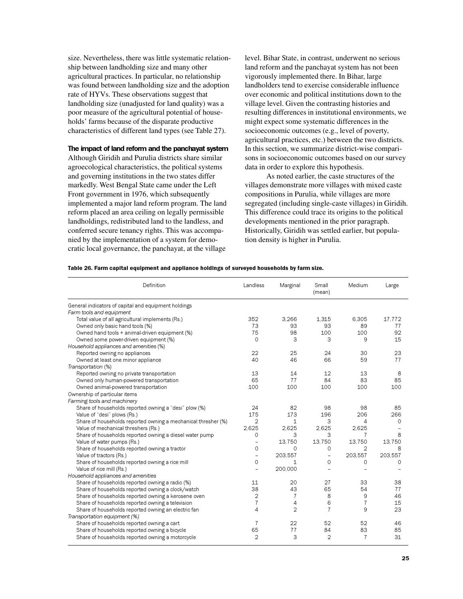size. Nevertheless, there was little systematic relationship between landholding size and many other agricultural practices. In particular, no relationship was found between landholding size and the adoption rate of HYVs. These observations suggest that landholding size (unadjusted for land quality) was a poor measure of the agricultural potential of households' farms because of the disparate productive characteristics of different land types (see Table 27).

## The impact of land reform and the panchayat system

Although Giridih and Purulia districts share similar agroecological characteristics, the political systems and governing institutions in the two states differ markedly. West Bengal State came under the Left Front government in 1976, which subsequently implemented a major land reform program. The land reform placed an area ceiling on legally permissible landholdings, redistributed land to the landless, and conferred secure tenancy rights. This was accompanied by the implementation of a system for democratic local governance, the panchayat, at the village

level. Bihar State, in contrast, underwent no serious land reform and the panchayat system has not been vigorously implemented there. In Bihar, large landholders tend to exercise considerable influence over economic and political institutions down to the village level. Given the contrasting histories and resulting differences in institutional environments, we might expect some systematic differences in the socioeconomic outcomes (e.g., level of poverty, agricultural practices, etc.) between the two districts. In this section, we summarize district-wise comparisons in socioeconomic outcomes based on our survey data in order to explore this hypothesis.

As noted earlier, the caste structures of the villages demonstrate more villages with mixed caste compositions in Purulia, while villages are more segregated (including single-caste villages) in Giridih. This difference could trace its origins to the political developments mentioned in the prior paragraph. Historically, Giridih was settled earlier, but population density is higher in Purulia.

#### Table 26. Farm capital equipment and appliance holdings of surveyed households by farm size.

| Definition                                                    | Landless                 | Marginal       | Small<br>(mean)          | Medium         | Large   |
|---------------------------------------------------------------|--------------------------|----------------|--------------------------|----------------|---------|
| General indicators of capital and equipment holdings          |                          |                |                          |                |         |
| Farm tools and equipment                                      |                          |                |                          |                |         |
| Total value of all agricultural implements (Rs.)              | 352                      | 3,266          | 1,315                    | 6,305          | 17,772  |
| Owned only basic hand tools (%)                               | 73                       | 93             | 93                       | 89             | 77      |
| Owned hand tools + animal-driven equipment (%)                | 75                       | 98             | 100                      | 100            | 92      |
| Owned some power-driven equipment (%)                         | 0                        | 3              | З                        | 9              | 15      |
| Household appliances and amenities (%)                        |                          |                |                          |                |         |
| Reported owning no appliances                                 | 22                       | 25             | 24                       | 30             | 23      |
| Owned at least one minor appliance                            | 40                       | 46             | 66                       | 59             | 77      |
| Transportation (%)                                            |                          |                |                          |                |         |
| Reported owning no private transportation                     | 13                       | 14             | 12                       | 13             | 8       |
| Owned only human-powered transportation                       | 65                       | 77             | 84                       | 83             | 85      |
| Owned animal-powered transportation                           | 100                      | 100            | 100                      | 100            | 100     |
| Ownership of particular items                                 |                          |                |                          |                |         |
| Farming tools and machinery                                   |                          |                |                          |                |         |
| Share of households reported owning a "desi" plow (%)         | 24                       | 82             | 98                       | 98             | 85      |
| Value of "desi" plows (Rs.)                                   | 175                      | 173            | 196                      | 206            | 266     |
| Share of households reported owning a mechanical thresher (%) | $\overline{2}$           | 1              | 3                        | 4              | 0       |
| Value of mechanical threshers (Rs.)                           | 2.625                    | 2.625          | 2,625                    | 2.625          |         |
| Share of households reported owning a diesel water pump       | 0                        | 3              | 3                        | 7              | 8       |
| Value of water pumps (Rs.)                                    | ÷,                       | 13.750         | 13,750                   | 13,750         | 13.750  |
| Share of households reported owning a tractor                 | 0                        | 0              | $\circ$                  | $\overline{2}$ | 8       |
| Value of tractors (Rs.)                                       | $\overline{\phantom{0}}$ | 203,557        | $\overline{\phantom{a}}$ | 203,557        | 203,557 |
| Share of households reported owning a rice mill               | $\mathbf 0$              | 1              | $\mathbf 0$              | 0              | 0       |
| Value of rice mill (Rs.)                                      |                          | 200,000        |                          |                |         |
| Household appliances and amenities                            |                          |                |                          |                |         |
| Share of households reported owning a radio (%)               | 11                       | 20             | 27                       | 33             | 38      |
| Share of households reported owning a clock/watch             | 38                       | 43             | 65                       | 54             | 77      |
| Share of households reported owning a kerosene oven           | 2                        | 7              | 8                        | 9              | 46      |
| Share of households reported owning a television              | $\overline{7}$           | 4              | 6                        | $\overline{7}$ | 15      |
| Share of households reported owning an electric fan           | 4                        | $\overline{2}$ | $\overline{7}$           | 9              | 23      |
| Transportation equipment (%)                                  |                          |                |                          |                |         |
| Share of households reported owning a cart                    | 7                        | 22             | 52                       | 52             | 46      |
| Share of households reported owning a bicycle                 | 65                       | 77             | 84                       | 83             | 85      |
| Share of households reported owning a motorcycle              | $\overline{2}$           | 3              | $\overline{2}$           | $\overline{7}$ | 31      |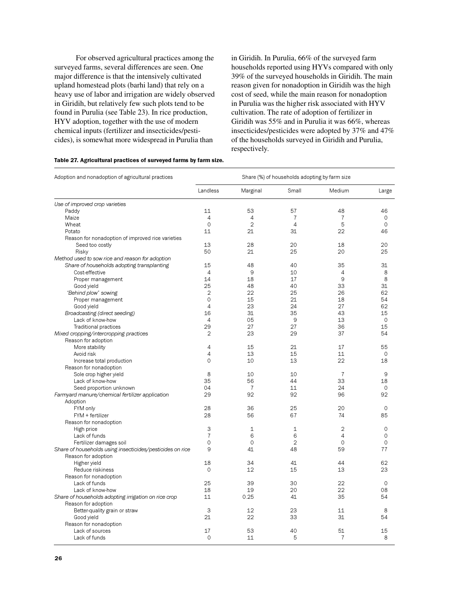For observed agricultural practices among the surveyed farms, several differences are seen. One major difference is that the intensively cultivated upland homestead plots (barhi land) that rely on a heavy use of labor and irrigation are widely observed in Giridih, but relatively few such plots tend to be found in Purulia (see Table 23). In rice production, HYV adoption, together with the use of modern chemical inputs (fertilizer and insecticides/pesticides), is somewhat more widespread in Purulia than

in Giridih. In Purulia, 66% of the surveyed farm households reported using HYVs compared with only 39% of the surveyed households in Giridih. The main reason given for nonadoption in Giridih was the high cost of seed, while the main reason for nonadoption in Purulia was the higher risk associated with HYV cultivation. The rate of adoption of fertilizer in Giridih was 55% and in Purulia it was 66%, whereas insecticides/pesticides were adopted by 37% and 47% of the households surveyed in Giridih and Purulia, respectively.

| Adoption and nonadoption of agricultural practices        | Share (%) of households adopting by farm size |                |                |                |             |  |  |
|-----------------------------------------------------------|-----------------------------------------------|----------------|----------------|----------------|-------------|--|--|
|                                                           | Landless                                      | Marginal       | Small          | Medium         | Large       |  |  |
| Use of improved crop varieties                            |                                               |                |                |                |             |  |  |
| Paddy                                                     | 11                                            | 53             | 57             | 48             | 46          |  |  |
| Maize                                                     | 4                                             | 4              | 7              | 7              | 0           |  |  |
| Wheat                                                     | $\mathbf 0$                                   | $\overline{2}$ | $\overline{4}$ | 5              | $\circ$     |  |  |
| Potato                                                    | 11                                            | 21             | 31             | 22             | 46          |  |  |
| Reason for nonadoption of improved rice varieties         |                                               |                |                |                |             |  |  |
| Seed too costly                                           | 13                                            | 28             | 20             | 18             | 20          |  |  |
| Risky                                                     | 50                                            | 21             | 25             | 20             | 25          |  |  |
| Method used to sow rice and reason for adoption           |                                               |                |                |                |             |  |  |
| Share of households adopting transplanting                | 15                                            | 48             | 40             | 35             | 31          |  |  |
| Cost-effective                                            | 4                                             | 9              | 10             | 4              | 8           |  |  |
| Proper management                                         | 14                                            | 18             | 17             | 9              | 8           |  |  |
| Good yield                                                | 25                                            | 48             | 40             | 33             | 31          |  |  |
|                                                           | $\mathfrak{D}$                                | 22             | 25             | 26             | 62          |  |  |
| "Behind plow" sowing                                      | $\circ$                                       | 15             | 21             | 18             | 54          |  |  |
| Proper management                                         |                                               |                |                |                |             |  |  |
| Good yield                                                | $\overline{4}$                                | 23             | 24             | 27             | 62          |  |  |
| Broadcasting (direct seeding)                             | 16                                            | 31             | 35             | 43             | 15          |  |  |
| Lack of know-how                                          | $\overline{4}$                                | 05             | 9              | 13             | $\circ$     |  |  |
| <b>Traditional practices</b>                              | 29                                            | 27             | 27             | 36             | 15          |  |  |
| Mixed cropping/intercropping practices                    | 2                                             | 23             | 29             | 37             | 54          |  |  |
| Reason for adoption                                       |                                               |                |                |                |             |  |  |
| More stability                                            | 4                                             | 15             | 21             | 17             | 55          |  |  |
| Avoid risk                                                | 4                                             | 13             | 15             | 11             | $\circ$     |  |  |
| Increase total production                                 | $\circ$                                       | 10             | 13             | 22             | 18          |  |  |
| Reason for nonadoption                                    |                                               |                |                |                |             |  |  |
| Sole crop higher yield                                    | 8                                             | 10             | 10             | $\overline{7}$ | 9           |  |  |
| Lack of know-how                                          | 35                                            | 56             | 44             | 33             | 18          |  |  |
| Seed proportion unknown                                   | 04                                            | 7              | 11             | 24             | 0           |  |  |
| Farmyard manure/chemical fertilizer application           | 29                                            | 92             | 92             | 96             | 92          |  |  |
| Adoption                                                  |                                               |                |                |                |             |  |  |
| FYM only                                                  | 28                                            | 36             | 25             | 20             | 0           |  |  |
| FYM + fertilizer                                          | 28                                            | 56             | 67             | 74             | 85          |  |  |
| Reason for nonadoption                                    |                                               |                |                |                |             |  |  |
| High price                                                | 3                                             | 1              | 1              | $\overline{2}$ | $\mathbf 0$ |  |  |
| Lack of funds                                             | $\overline{7}$                                | 6              | 6              | $\overline{4}$ | $\mathbf 0$ |  |  |
|                                                           | $\circ$                                       | $\mathbf 0$    | $\overline{2}$ | $\mathbf 0$    | $\circ$     |  |  |
| Fertilizer damages soil                                   | 9                                             | 41             | 48             | 59             | 77          |  |  |
| Share of households using insecticides/pesticides on rice |                                               |                |                |                |             |  |  |
| Reason for adoption                                       |                                               |                |                |                |             |  |  |
| Higher yield                                              | 18                                            | 34             | 41             | 44             | 62          |  |  |
| Reduce riskiness                                          | $\Omega$                                      | 12             | 15             | 13             | 23          |  |  |
| Reason for nonadoption                                    |                                               |                |                |                |             |  |  |
| Lack of funds                                             | 25                                            | 39             | 30             | 22             | $\mathbf 0$ |  |  |
| Lack of know-how                                          | 18                                            | 19             | 20             | 22             | 08          |  |  |
| Share of households adopting irrigation on rice crop      | 11                                            | 0.25           | 41             | 35             | 54          |  |  |
| Reason for adoption                                       |                                               |                |                |                |             |  |  |
| Better-quality grain or straw                             | 3                                             | 12             | 23             | 11             | 8           |  |  |
| Good yield                                                | 21                                            | 22             | 33             | 31             | 54          |  |  |
| Reason for nonadoption                                    |                                               |                |                |                |             |  |  |
| Lack of sources                                           | 17                                            | 53             | 40             | 51             | 15          |  |  |
| Lack of funds                                             | $\Omega$                                      | 11             | 5              | 7              | 8           |  |  |

#### Table 27. Agricultural practices of surveyed farms by farm size.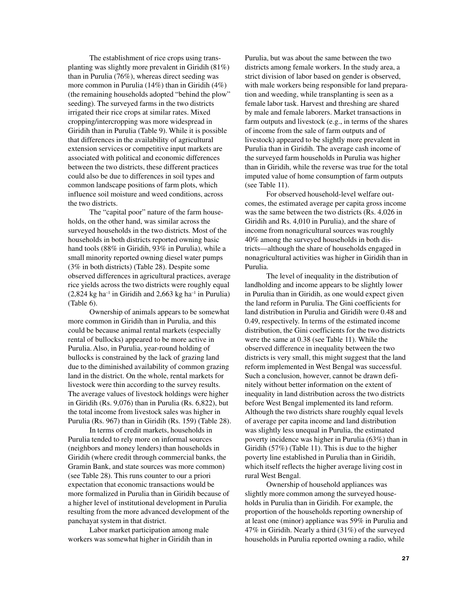The establishment of rice crops using transplanting was slightly more prevalent in Giridih (81%) than in Purulia (76%), whereas direct seeding was more common in Purulia (14%) than in Giridih (4%) (the remaining households adopted "behind the plow" seeding). The surveyed farms in the two districts irrigated their rice crops at similar rates. Mixed cropping/intercropping was more widespread in Giridih than in Purulia (Table 9). While it is possible that differences in the availability of agricultural extension services or competitive input markets are associated with political and economic differences between the two districts, these different practices could also be due to differences in soil types and common landscape positions of farm plots, which influence soil moisture and weed conditions, across the two districts.

The "capital poor" nature of the farm households, on the other hand, was similar across the surveyed households in the two districts. Most of the households in both districts reported owning basic hand tools (88% in Giridih, 93% in Purulia), while a small minority reported owning diesel water pumps (3% in both districts) (Table 28). Despite some observed differences in agricultural practices, average rice yields across the two districts were roughly equal  $(2,824 \text{ kg ha}^{-1}$  in Giridih and  $2,663 \text{ kg ha}^{-1}$  in Purulia) (Table 6).

Ownership of animals appears to be somewhat more common in Giridih than in Purulia, and this could be because animal rental markets (especially rental of bullocks) appeared to be more active in Purulia. Also, in Purulia, year-round holding of bullocks is constrained by the lack of grazing land due to the diminished availability of common grazing land in the district. On the whole, rental markets for livestock were thin according to the survey results. The average values of livestock holdings were higher in Giridih (Rs. 9,076) than in Purulia (Rs. 6,822), but the total income from livestock sales was higher in Purulia (Rs. 967) than in Giridih (Rs. 159) (Table 28).

In terms of credit markets, households in Purulia tended to rely more on informal sources (neighbors and money lenders) than households in Giridih (where credit through commercial banks, the Gramin Bank, and state sources was more common) (see Table 28). This runs counter to our a priori expectation that economic transactions would be more formalized in Purulia than in Giridih because of a higher level of institutional development in Purulia resulting from the more advanced development of the panchayat system in that district.

Labor market participation among male workers was somewhat higher in Giridih than in Purulia, but was about the same between the two districts among female workers. In the study area, a strict division of labor based on gender is observed, with male workers being responsible for land preparation and weeding, while transplanting is seen as a female labor task. Harvest and threshing are shared by male and female laborers. Market transactions in farm outputs and livestock (e.g., in terms of the shares of income from the sale of farm outputs and of livestock) appeared to be slightly more prevalent in Purulia than in Giridih. The average cash income of the surveyed farm households in Purulia was higher than in Giridih, while the reverse was true for the total imputed value of home consumption of farm outputs (see Table 11).

For observed household-level welfare outcomes, the estimated average per capita gross income was the same between the two districts (Rs. 4,026 in Giridih and Rs. 4,010 in Purulia), and the share of income from nonagricultural sources was roughly 40% among the surveyed households in both districts—although the share of households engaged in nonagricultural activities was higher in Giridih than in Purulia.

The level of inequality in the distribution of landholding and income appears to be slightly lower in Purulia than in Giridih, as one would expect given the land reform in Purulia. The Gini coefficients for land distribution in Purulia and Giridih were 0.48 and 0.49, respectively. In terms of the estimated income distribution, the Gini coefficients for the two districts were the same at 0.38 (see Table 11). While the observed difference in inequality between the two districts is very small, this might suggest that the land reform implemented in West Bengal was successful. Such a conclusion, however, cannot be drawn definitely without better information on the extent of inequality in land distribution across the two districts before West Bengal implemented its land reform. Although the two districts share roughly equal levels of average per capita income and land distribution was slightly less unequal in Purulia, the estimated poverty incidence was higher in Purulia (63%) than in Giridih (57%) (Table 11). This is due to the higher poverty line established in Purulia than in Giridih, which itself reflects the higher average living cost in rural West Bengal.

Ownership of household appliances was slightly more common among the surveyed households in Purulia than in Giridih. For example, the proportion of the households reporting ownership of at least one (minor) appliance was 59% in Purulia and 47% in Giridih. Nearly a third (31%) of the surveyed households in Purulia reported owning a radio, while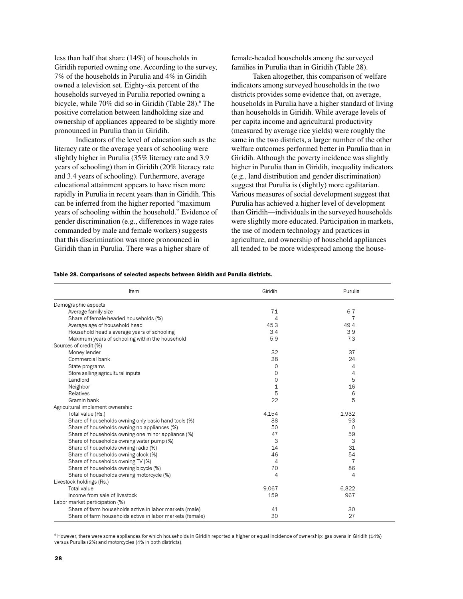less than half that share (14%) of households in Giridih reported owning one. According to the survey, 7% of the households in Purulia and 4% in Giridih owned a television set. Eighty-six percent of the households surveyed in Purulia reported owning a bicycle, while 70% did so in Giridih (Table 28).<sup>6</sup> The positive correlation between landholding size and ownership of appliances appeared to be slightly more pronounced in Purulia than in Giridih.

Indicators of the level of education such as the literacy rate or the average years of schooling were slightly higher in Purulia (35% literacy rate and 3.9 years of schooling) than in Giridih (20% literacy rate and 3.4 years of schooling). Furthermore, average educational attainment appears to have risen more rapidly in Purulia in recent years than in Giridih. This can be inferred from the higher reported "maximum years of schooling within the household." Evidence of gender discrimination (e.g., differences in wage rates commanded by male and female workers) suggests that this discrimination was more pronounced in Giridih than in Purulia. There was a higher share of

female-headed households among the surveyed families in Purulia than in Giridih (Table 28).

Taken altogether, this comparison of welfare indicators among surveyed households in the two districts provides some evidence that, on average, households in Purulia have a higher standard of living than households in Giridih. While average levels of per capita income and agricultural productivity (measured by average rice yields) were roughly the same in the two districts, a larger number of the other welfare outcomes performed better in Purulia than in Giridih. Although the poverty incidence was slightly higher in Purulia than in Giridih, inequality indicators (e.g., land distribution and gender discrimination) suggest that Purulia is (slightly) more egalitarian. Various measures of social development suggest that Purulia has achieved a higher level of development than Giridih—individuals in the surveyed households were slightly more educated. Participation in markets, the use of modern technology and practices in agriculture, and ownership of household appliances all tended to be more widespread among the house-

#### Table 28. Comparisons of selected aspects between Giridih and Purulia districts.

| Item                                                      | Giridih        | Purulia        |
|-----------------------------------------------------------|----------------|----------------|
| Demographic aspects                                       |                |                |
| Average family size                                       | 7.1            | 6.7            |
| Share of female-headed households (%)                     | 4              | 7              |
| Average age of household head                             | 45.3           | 49.4           |
| Household head's average years of schooling               | 3.4            | 3.9            |
| Maximum years of schooling within the household           | 5.9            | 7.3            |
| Sources of credit (%)                                     |                |                |
| Money lender                                              | 32             | 37             |
| Commercial bank                                           | 38             | 24             |
| State programs                                            | $\Omega$       | 4              |
| Store selling agricultural inputs                         | $\circ$        | 4              |
| Landlord                                                  | 0              | 5              |
| Neighbor                                                  | $\mathbf{1}$   | 16             |
| <b>Relatives</b>                                          | 5              | 6              |
| Gramin bank                                               | 22             | 5              |
| Agricultural implement ownership                          |                |                |
| Total value (Rs.)                                         | 4.154          | 1,932          |
| Share of households owning only basic hand tools (%)      | 88             | 93             |
| Share of households owning no appliances (%)              | 50             | $\Omega$       |
| Share of households owning one minor appliance (%)        | 47             | 59             |
| Share of households owning water pump (%)                 | 3              | 3              |
| Share of households owning radio (%)                      | 14             | 31             |
| Share of households owning clock (%)                      | 46             | 54             |
| Share of households owning TV (%)                         | $\overline{4}$ | $\overline{7}$ |
| Share of households owning bicycle (%)                    | 70             | 86             |
| Share of households owning motorcycle (%)                 | 4              | 4              |
| Livestock holdings (Rs.)                                  |                |                |
| <b>Total value</b>                                        | 9.067          | 6.822          |
| Income from sale of livestock                             | 159            | 967            |
| Labor market participation (%)                            |                |                |
| Share of farm households active in labor markets (male)   | 41             | 30             |
| Share of farm households active in labor markets (female) | 30             | 27             |

 $^6$  However, there were some appliances for which households in Giridih reported a higher or equal incidence of ownership: gas ovens in Giridih (14%) versus Purulia (2%) and motorcycles (4% in both districts).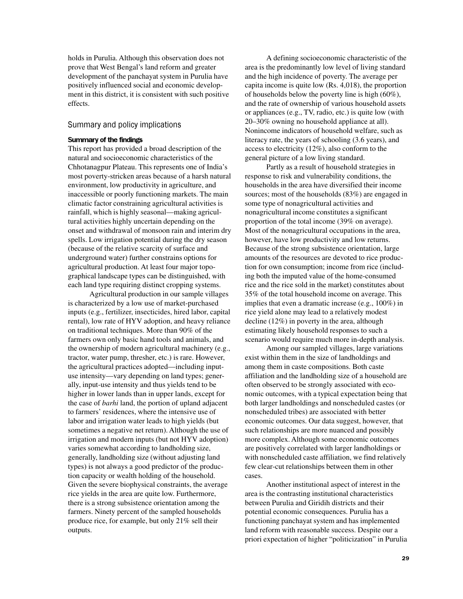holds in Purulia. Although this observation does not prove that West Bengal's land reform and greater development of the panchayat system in Purulia have positively influenced social and economic development in this district, it is consistent with such positive effects.

## Summary and policy implications

### Summary of the findings

This report has provided a broad description of the natural and socioeconomic characteristics of the Chhotanagpur Plateau. This represents one of India's most poverty-stricken areas because of a harsh natural environment, low productivity in agriculture, and inaccessible or poorly functioning markets. The main climatic factor constraining agricultural activities is rainfall, which is highly seasonal—making agricultural activities highly uncertain depending on the onset and withdrawal of monsoon rain and interim dry spells. Low irrigation potential during the dry season (because of the relative scarcity of surface and underground water) further constrains options for agricultural production. At least four major topographical landscape types can be distinguished, with each land type requiring distinct cropping systems.

Agricultural production in our sample villages is characterized by a low use of market-purchased inputs (e.g., fertilizer, insecticides, hired labor, capital rental), low rate of HYV adoption, and heavy reliance on traditional techniques. More than 90% of the farmers own only basic hand tools and animals, and the ownership of modern agricultural machinery (e.g., tractor, water pump, thresher, etc.) is rare. However, the agricultural practices adopted—including inputuse intensity—vary depending on land types; generally, input-use intensity and thus yields tend to be higher in lower lands than in upper lands, except for the case of *barhi* land, the portion of upland adjacent to farmers' residences, where the intensive use of labor and irrigation water leads to high yields (but sometimes a negative net return). Although the use of irrigation and modern inputs (but not HYV adoption) varies somewhat according to landholding size, generally, landholding size (without adjusting land types) is not always a good predictor of the production capacity or wealth holding of the household. Given the severe biophysical constraints, the average rice yields in the area are quite low. Furthermore, there is a strong subsistence orientation among the farmers. Ninety percent of the sampled households produce rice, for example, but only 21% sell their outputs.

A defining socioeconomic characteristic of the area is the predominantly low level of living standard and the high incidence of poverty. The average per capita income is quite low (Rs. 4,018), the proportion of households below the poverty line is high (60%), and the rate of ownership of various household assets or appliances (e.g., TV, radio, etc.) is quite low (with 20–30% owning no household appliance at all). Nonincome indicators of household welfare, such as literacy rate, the years of schooling (3.6 years), and access to electricity (12%), also conform to the general picture of a low living standard.

Partly as a result of household strategies in response to risk and vulnerability conditions, the households in the area have diversified their income sources; most of the households (83%) are engaged in some type of nonagricultural activities and nonagricultural income constitutes a significant proportion of the total income (39% on average). Most of the nonagricultural occupations in the area, however, have low productivity and low returns. Because of the strong subsistence orientation, large amounts of the resources are devoted to rice production for own consumption; income from rice (including both the imputed value of the home-consumed rice and the rice sold in the market) constitutes about 35% of the total household income on average. This implies that even a dramatic increase (e.g., 100%) in rice yield alone may lead to a relatively modest decline (12%) in poverty in the area, although estimating likely household responses to such a scenario would require much more in-depth analysis.

Among our sampled villages, large variations exist within them in the size of landholdings and among them in caste compositions. Both caste affiliation and the landholding size of a household are often observed to be strongly associated with economic outcomes, with a typical expectation being that both larger landholdings and nonscheduled castes (or nonscheduled tribes) are associated with better economic outcomes. Our data suggest, however, that such relationships are more nuanced and possibly more complex. Although some economic outcomes are positively correlated with larger landholdings or with nonscheduled caste affiliation, we find relatively few clear-cut relationships between them in other cases.

Another institutional aspect of interest in the area is the contrasting institutional characteristics between Purulia and Giridih districts and their potential economic consequences. Purulia has a functioning panchayat system and has implemented land reform with reasonable success. Despite our a priori expectation of higher "politicization" in Purulia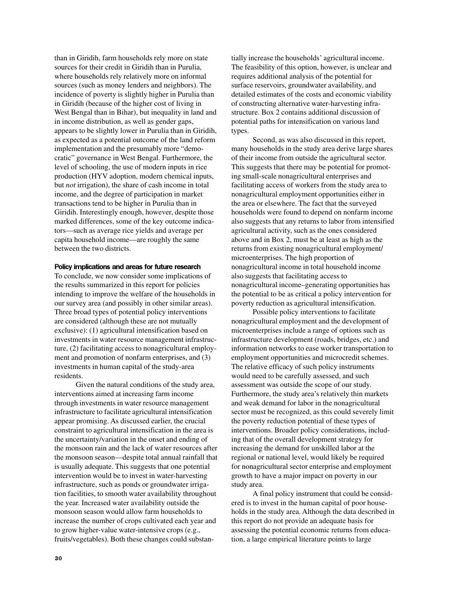than in Giridih, farm households rely more on state sources for their credit in Giridih than in Purulia, where households rely relatively more on informal sources (such as money lenders and neighbors). The incidence of poverty is slightly higher in Purulia than in Giridih (because of the higher cost of living in West Bengal than in Bihar), but inequality in land and in income distribution, as well as gender gaps, appears to be slightly lower in Purulia than in Giridih, as expected as a potential outcome of the land reform implementation and the presumably more "democratic" governance in West Bengal. Furthermore, the level of schooling, the use of modern inputs in rice production (HYV adoption, modern chemical inputs, but *not* irrigation), the share of cash income in total income, and the degree of participation in market transactions tend to be higher in Purulia than in Giridih. Interestingly enough, however, despite those marked differences, some of the key outcome indicators—such as average rice yields and average per capita household income—are roughly the same between the two districts.

### Policy implications and areas for future research

To conclude, we now consider some implications of the results summarized in this report for policies intending to improve the welfare of the households in our survey area (and possibly in other similar areas). Three broad types of potential policy interventions are considered (although these are not mutually exclusive): (1) agricultural intensification based on investments in water resource management infrastructure, (2) facilitating access to nonagricultural employment and promotion of nonfarm enterprises, and (3) investments in human capital of the study-area residents.

Given the natural conditions of the study area, interventions aimed at increasing farm income through investments in water resource management infrastructure to facilitate agricultural intensification appear promising. As discussed earlier, the crucial constraint to agricultural intensification in the area is the uncertainty/variation in the onset and ending of the monsoon rain and the lack of water resources after the monsoon season—despite total annual rainfall that is usually adequate. This suggests that one potential intervention would be to invest in water-harvesting infrastructure, such as ponds or groundwater irrigation facilities, to smooth water availability throughout the year. Increased water availability outside the monsoon season would allow farm households to increase the number of crops cultivated each year and to grow higher-value water-intensive crops (e.g., fruits/vegetables). Both these changes could substan-

tially increase the households' agricultural income. The feasibility of this option, however, is unclear and requires additional analysis of the potential for surface reservoirs, groundwater availability, and detailed estimates of the costs and economic viability of constructing alternative water-harvesting infrastructure. Box 2 contains additional discussion of potential paths for intensification on various land types.

Second, as was also discussed in this report, many households in the study area derive large shares of their income from outside the agricultural sector. This suggests that there may be potential for promoting small-scale nonagricultural enterprises and facilitating access of workers from the study area to nonagricultural employment opportunities either in the area or elsewhere. The fact that the surveyed households were found to depend on nonfarm income also suggests that any returns to labor from intensified agricultural activity, such as the ones considered above and in Box 2, must be at least as high as the returns from existing nonagricultural employment/ microenterprises. The high proportion of nonagricultural income in total household income also suggests that facilitating access to nonagricultural income–generating opportunities has the potential to be as critical a policy intervention for poverty reduction as agricultural intensification.

Possible policy interventions to facilitate nonagricultural employment and the development of microenterprises include a range of options such as infrastructure development (roads, bridges, etc.) and information networks to ease worker transportation to employment opportunities and microcredit schemes. The relative efficacy of such policy instruments would need to be carefully assessed, and such assessment was outside the scope of our study. Furthermore, the study area's relatively thin markets and weak demand for labor in the nonagricultural sector must be recognized, as this could severely limit the poverty reduction potential of these types of interventions. Broader policy considerations, including that of the overall development strategy for increasing the demand for unskilled labor at the regional or national level, would likely be required for nonagricultural sector enterprise and employment growth to have a major impact on poverty in our study area.

A final policy instrument that could be considered is to invest in the human capital of poor households in the study area. Although the data described in this report do not provide an adequate basis for assessing the potential economic returns from education, a large empirical literature points to large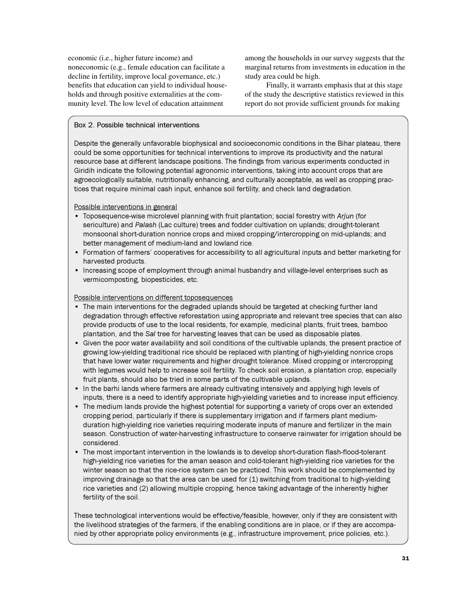economic (i.e., higher future income) and noneconomic (e.g., female education can facilitate a decline in fertility, improve local governance, etc.) benefits that education can yield to individual households and through positive externalities at the community level. The low level of education attainment

among the households in our survey suggests that the marginal returns from investments in education in the study area could be high.

Finally, it warrants emphasis that at this stage of the study the descriptive statistics reviewed in this report do not provide sufficient grounds for making

## Box 2. Possible technical interventions

Despite the generally unfavorable biophysical and socioeconomic conditions in the Bihar plateau, there could be some opportunities for technical interventions to improve its productivity and the natural resource base at different landscape positions. The findings from various experiments conducted in Giridih indicate the following potential agronomic interventions, taking into account crops that are agroecologically suitable, nutritionally enhancing, and culturally acceptable, as well as cropping practices that require minimal cash input, enhance soil fertility, and check land degradation.

## Possible interventions in general

- Toposequence-wise microlevel planning with fruit plantation; social forestry with Arjun (for sericulture) and Palash (Lac culture) trees and fodder cultivation on uplands; drought-tolerant monsoonal short-duration nonrice crops and mixed cropping/intercropping on mid-uplands; and better management of medium-land and lowland rice.
- Formation of farmers' cooperatives for accessibility to all agricultural inputs and better marketing for harvested products.
- Increasing scope of employment through animal husbandry and village-level enterprises such as vermicomposting, biopesticides, etc.

## Possible interventions on different toposequences

- The main interventions for the degraded uplands should be targeted at checking further land degradation through effective reforestation using appropriate and relevant tree species that can also provide products of use to the local residents, for example, medicinal plants, fruit trees, bamboo plantation, and the Sal tree for harvesting leaves that can be used as disposable plates.
- Given the poor water availability and soil conditions of the cultivable uplands, the present practice of growing low-yielding traditional rice should be replaced with planting of high-yielding nonrice crops that have lower water requirements and higher drought tolerance. Mixed cropping or intercropping with legumes would help to increase soil fertility. To check soil erosion, a plantation crop, especially fruit plants, should also be tried in some parts of the cultivable uplands.
- In the barhi lands where farmers are already cultivating intensively and applying high levels of inputs, there is a need to identify appropriate high-yielding varieties and to increase input efficiency.
- The medium lands provide the highest potential for supporting a variety of crops over an extended cropping period, particularly if there is supplementary irrigation and if farmers plant mediumduration high-yielding rice varieties requiring moderate inputs of manure and fertilizer in the main season. Construction of water-harvesting infrastructure to conserve rainwater for irrigation should be considered.
- The most important intervention in the lowlands is to develop short-duration flash-flood-tolerant high-yielding rice varieties for the aman season and cold-tolerant high-yielding rice varieties for the winter season so that the rice-rice system can be practiced. This work should be complemented by improving drainage so that the area can be used for (1) switching from traditional to high-yielding rice varieties and (2) allowing multiple cropping, hence taking advantage of the inherently higher fertility of the soil.

These technological interventions would be effective/feasible, however, only if they are consistent with the livelihood strategies of the farmers, if the enabling conditions are in place, or if they are accompanied by other appropriate policy environments (e.g., infrastructure improvement, price policies, etc.).